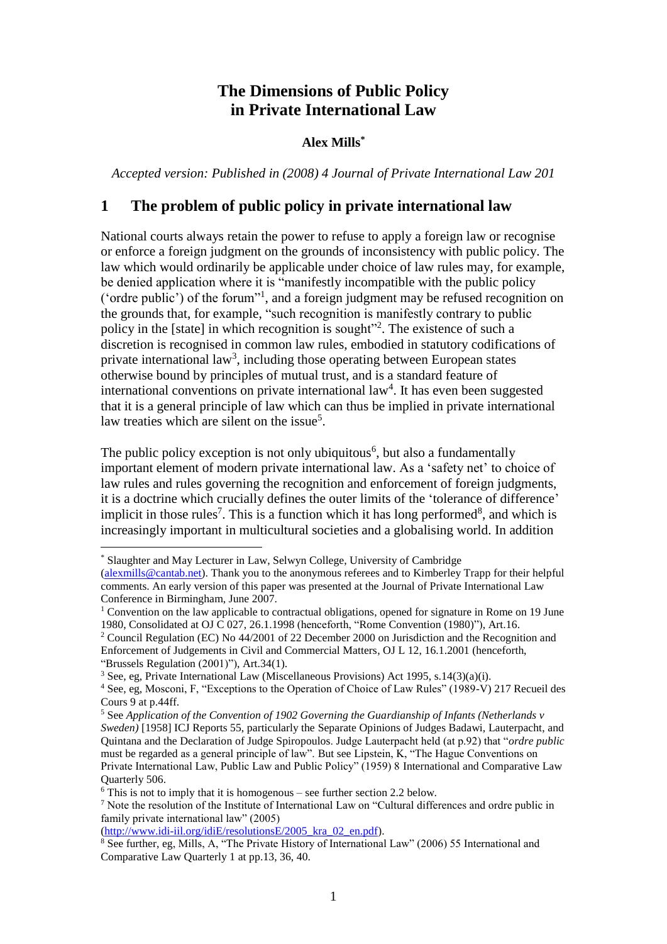# **The Dimensions of Public Policy in Private International Law**

#### **Alex Mills\***

*Accepted version: Published in (2008) 4 Journal of Private International Law 201*

### **1 The problem of public policy in private international law**

National courts always retain the power to refuse to apply a foreign law or recognise or enforce a foreign judgment on the grounds of inconsistency with public policy. The law which would ordinarily be applicable under choice of law rules may, for example, be denied application where it is "manifestly incompatible with the public policy ('ordre public') of the forum"<sup>1</sup> , and a foreign judgment may be refused recognition on the grounds that, for example, "such recognition is manifestly contrary to public policy in the [state] in which recognition is sought"<sup>2</sup>. The existence of such a discretion is recognised in common law rules, embodied in statutory codifications of private international law<sup>3</sup>, including those operating between European states otherwise bound by principles of mutual trust, and is a standard feature of international conventions on private international law<sup>4</sup>. It has even been suggested that it is a general principle of law which can thus be implied in private international law treaties which are silent on the issue<sup>5</sup>.

The public policy exception is not only ubiquitous<sup>6</sup>, but also a fundamentally important element of modern private international law. As a 'safety net' to choice of law rules and rules governing the recognition and enforcement of foreign judgments, it is a doctrine which crucially defines the outer limits of the 'tolerance of difference' implicit in those rules<sup>7</sup>. This is a function which it has long performed<sup>8</sup>, and which is increasingly important in multicultural societies and a globalising world. In addition

<u>.</u>

<sup>3</sup> See, eg, Private International Law (Miscellaneous Provisions) Act 1995, s.14(3)(a)(i).

<sup>\*</sup> Slaughter and May Lecturer in Law, Selwyn College, University of Cambridge

[<sup>\(</sup>alexmills@cantab.net\)](mailto:alexmills@cantab.net). Thank you to the anonymous referees and to Kimberley Trapp for their helpful comments. An early version of this paper was presented at the Journal of Private International Law Conference in Birmingham, June 2007.

<sup>&</sup>lt;sup>1</sup> Convention on the law applicable to contractual obligations, opened for signature in Rome on 19 June 1980, Consolidated at OJ C 027, 26.1.1998 (henceforth, "Rome Convention (1980)"), Art.16.

<sup>2</sup> Council Regulation (EC) No 44/2001 of 22 December 2000 on Jurisdiction and the Recognition and Enforcement of Judgements in Civil and Commercial Matters, OJ L 12, 16.1.2001 (henceforth, "Brussels Regulation (2001)"), Art.34(1).

<sup>4</sup> See, eg, Mosconi, F, "Exceptions to the Operation of Choice of Law Rules" (1989-V) 217 Recueil des Cours 9 at p.44ff.

<sup>5</sup> See *Application of the Convention of 1902 Governing the Guardianship of Infants (Netherlands v Sweden)* [1958] ICJ Reports 55, particularly the Separate Opinions of Judges Badawi, Lauterpacht, and Quintana and the Declaration of Judge Spiropoulos. Judge Lauterpacht held (at p.92) that "*ordre public* must be regarded as a general principle of law". But see Lipstein, K, "The Hague Conventions on Private International Law, Public Law and Public Policy" (1959) 8 International and Comparative Law Quarterly 506.

 $6$  This is not to imply that it is homogenous – see further section 2.2 below.

<sup>7</sup> Note the resolution of the Institute of International Law on "Cultural differences and ordre public in family private international law" (2005)

[<sup>\(</sup>http://www.idi-iil.org/idiE/resolutionsE/2005\\_kra\\_02\\_en.pdf\)](http://www.idi-iil.org/idiE/resolutionsE/2005_kra_02_en.pdf).

<sup>&</sup>lt;sup>8</sup> See further, eg, Mills, A, "The Private History of International Law" (2006) 55 International and Comparative Law Quarterly 1 at pp.13, 36, 40.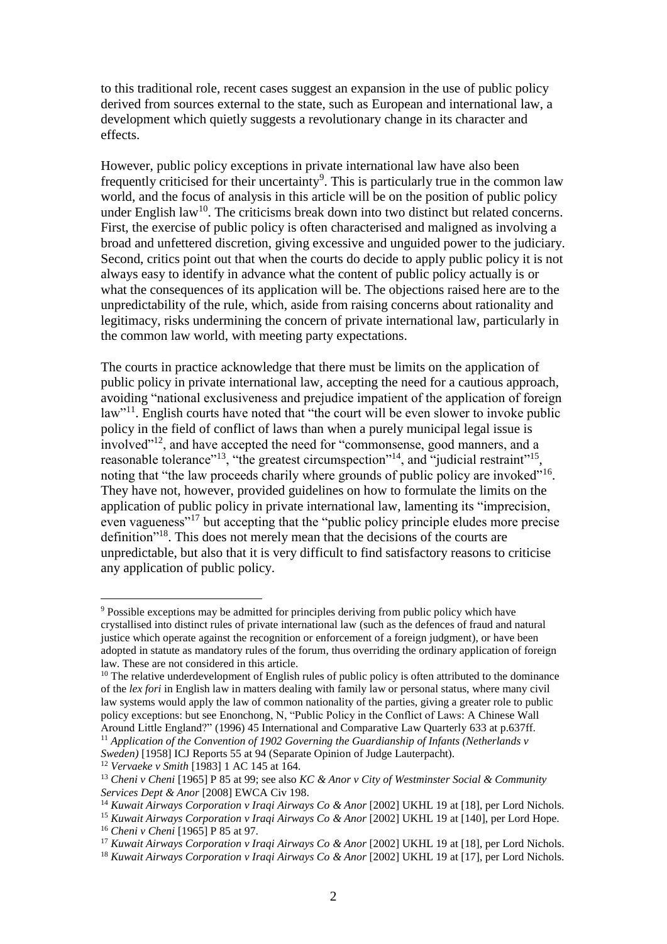to this traditional role, recent cases suggest an expansion in the use of public policy derived from sources external to the state, such as European and international law, a development which quietly suggests a revolutionary change in its character and effects.

However, public policy exceptions in private international law have also been frequently criticised for their uncertainty<sup>9</sup>. This is particularly true in the common law world, and the focus of analysis in this article will be on the position of public policy under English law<sup>10</sup>. The criticisms break down into two distinct but related concerns. First, the exercise of public policy is often characterised and maligned as involving a broad and unfettered discretion, giving excessive and unguided power to the judiciary. Second, critics point out that when the courts do decide to apply public policy it is not always easy to identify in advance what the content of public policy actually is or what the consequences of its application will be. The objections raised here are to the unpredictability of the rule, which, aside from raising concerns about rationality and legitimacy, risks undermining the concern of private international law, particularly in the common law world, with meeting party expectations.

The courts in practice acknowledge that there must be limits on the application of public policy in private international law, accepting the need for a cautious approach, avoiding "national exclusiveness and prejudice impatient of the application of foreign law"<sup>11</sup>. English courts have noted that "the court will be even slower to invoke public policy in the field of conflict of laws than when a purely municipal legal issue is involved"<sup>12</sup>, and have accepted the need for "commonsense, good manners, and a reasonable tolerance"<sup>13</sup>, "the greatest circumspection"<sup>14</sup>, and "judicial restraint"<sup>15</sup>, noting that "the law proceeds charily where grounds of public policy are invoked"<sup>16</sup>. They have not, however, provided guidelines on how to formulate the limits on the application of public policy in private international law, lamenting its "imprecision, even vagueness"<sup>17</sup> but accepting that the "public policy principle eludes more precise definition"<sup>18</sup>. This does not merely mean that the decisions of the courts are unpredictable, but also that it is very difficult to find satisfactory reasons to criticise any application of public policy.

<sup>12</sup> *Vervaeke v Smith* [1983] 1 AC 145 at 164.

<sup>9</sup> Possible exceptions may be admitted for principles deriving from public policy which have crystallised into distinct rules of private international law (such as the defences of fraud and natural justice which operate against the recognition or enforcement of a foreign judgment), or have been adopted in statute as mandatory rules of the forum, thus overriding the ordinary application of foreign law. These are not considered in this article.

 $10$  The relative underdevelopment of English rules of public policy is often attributed to the dominance of the *lex fori* in English law in matters dealing with family law or personal status, where many civil law systems would apply the law of common nationality of the parties, giving a greater role to public policy exceptions: but see Enonchong, N, "Public Policy in the Conflict of Laws: A Chinese Wall Around Little England?" (1996) 45 International and Comparative Law Quarterly 633 at p.637ff.

<sup>11</sup> *Application of the Convention of 1902 Governing the Guardianship of Infants (Netherlands v Sweden)* [1958] ICJ Reports 55 at 94 (Separate Opinion of Judge Lauterpacht).

<sup>&</sup>lt;sup>13</sup> *Cheni v Cheni* [1965] P 85 at 99; see also *KC & Anor v City of Westminster Social & Community Services Dept & Anor* [2008] EWCA Civ 198.

<sup>14</sup> *Kuwait Airways Corporation v Iraqi Airways Co & Anor* [2002] UKHL 19 at [18], per Lord Nichols.

<sup>15</sup> *Kuwait Airways Corporation v Iraqi Airways Co & Anor* [2002] UKHL 19 at [140], per Lord Hope.

<sup>16</sup> *Cheni v Cheni* [1965] P 85 at 97.

<sup>17</sup> *Kuwait Airways Corporation v Iraqi Airways Co & Anor* [2002] UKHL 19 at [18], per Lord Nichols.

<sup>18</sup> *Kuwait Airways Corporation v Iraqi Airways Co & Anor* [2002] UKHL 19 at [17], per Lord Nichols.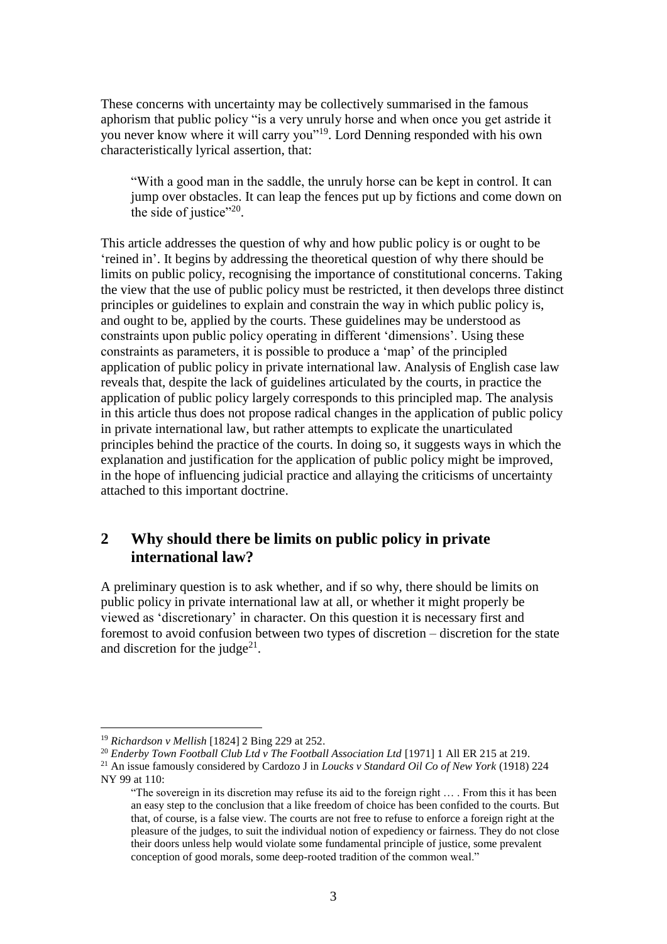These concerns with uncertainty may be collectively summarised in the famous aphorism that public policy "is a very unruly horse and when once you get astride it you never know where it will carry you"<sup>19</sup>. Lord Denning responded with his own characteristically lyrical assertion, that:

"With a good man in the saddle, the unruly horse can be kept in control. It can jump over obstacles. It can leap the fences put up by fictions and come down on the side of justice"<sup>20</sup>.

This article addresses the question of why and how public policy is or ought to be 'reined in'. It begins by addressing the theoretical question of why there should be limits on public policy, recognising the importance of constitutional concerns. Taking the view that the use of public policy must be restricted, it then develops three distinct principles or guidelines to explain and constrain the way in which public policy is, and ought to be, applied by the courts. These guidelines may be understood as constraints upon public policy operating in different 'dimensions'. Using these constraints as parameters, it is possible to produce a 'map' of the principled application of public policy in private international law. Analysis of English case law reveals that, despite the lack of guidelines articulated by the courts, in practice the application of public policy largely corresponds to this principled map. The analysis in this article thus does not propose radical changes in the application of public policy in private international law, but rather attempts to explicate the unarticulated principles behind the practice of the courts. In doing so, it suggests ways in which the explanation and justification for the application of public policy might be improved, in the hope of influencing judicial practice and allaying the criticisms of uncertainty attached to this important doctrine.

## **2 Why should there be limits on public policy in private international law?**

A preliminary question is to ask whether, and if so why, there should be limits on public policy in private international law at all, or whether it might properly be viewed as 'discretionary' in character. On this question it is necessary first and foremost to avoid confusion between two types of discretion – discretion for the state and discretion for the judge<sup>21</sup>.

<sup>19</sup> *Richardson v Mellish* [1824] 2 Bing 229 at 252.

<sup>&</sup>lt;sup>20</sup> Enderby Town Football Club Ltd v The Football Association Ltd [1971] 1 All ER 215 at 219. <sup>21</sup> An issue famously considered by Cardozo J in *Loucks v Standard Oil Co of New York* (1918) 224 NY 99 at 110:

<sup>&</sup>quot;The sovereign in its discretion may refuse its aid to the foreign right … . From this it has been an easy step to the conclusion that a like freedom of choice has been confided to the courts. But that, of course, is a false view. The courts are not free to refuse to enforce a foreign right at the pleasure of the judges, to suit the individual notion of expediency or fairness. They do not close their doors unless help would violate some fundamental principle of justice, some prevalent conception of good morals, some deep-rooted tradition of the common weal."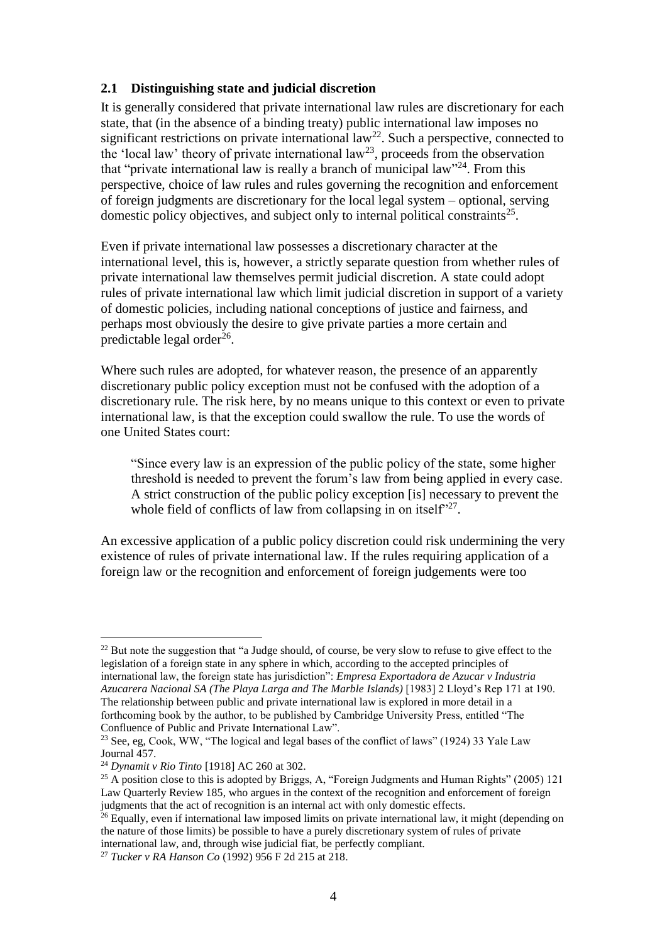### **2.1 Distinguishing state and judicial discretion**

It is generally considered that private international law rules are discretionary for each state, that (in the absence of a binding treaty) public international law imposes no significant restrictions on private international law<sup>22</sup>. Such a perspective, connected to the 'local law' theory of private international law<sup>23</sup>, proceeds from the observation that "private international law is really a branch of municipal law"<sup>24</sup>. From this perspective, choice of law rules and rules governing the recognition and enforcement of foreign judgments are discretionary for the local legal system – optional, serving domestic policy objectives, and subject only to internal political constraints<sup>25</sup>.

Even if private international law possesses a discretionary character at the international level, this is, however, a strictly separate question from whether rules of private international law themselves permit judicial discretion. A state could adopt rules of private international law which limit judicial discretion in support of a variety of domestic policies, including national conceptions of justice and fairness, and perhaps most obviously the desire to give private parties a more certain and predictable legal order<sup>26</sup>.

Where such rules are adopted, for whatever reason, the presence of an apparently discretionary public policy exception must not be confused with the adoption of a discretionary rule. The risk here, by no means unique to this context or even to private international law, is that the exception could swallow the rule. To use the words of one United States court:

"Since every law is an expression of the public policy of the state, some higher threshold is needed to prevent the forum's law from being applied in every case. A strict construction of the public policy exception [is] necessary to prevent the whole field of conflicts of law from collapsing in on itself"<sup>27</sup>.

An excessive application of a public policy discretion could risk undermining the very existence of rules of private international law. If the rules requiring application of a foreign law or the recognition and enforcement of foreign judgements were too

 $^{22}$  But note the suggestion that "a Judge should, of course, be very slow to refuse to give effect to the legislation of a foreign state in any sphere in which, according to the accepted principles of international law, the foreign state has jurisdiction": *Empresa Exportadora de Azucar v Industria Azucarera Nacional SA (The Playa Larga and The Marble Islands)* [1983] 2 Lloyd's Rep 171 at 190. The relationship between public and private international law is explored in more detail in a forthcoming book by the author, to be published by Cambridge University Press, entitled "The Confluence of Public and Private International Law".

<sup>&</sup>lt;sup>23</sup> See, eg, Cook, WW, "The logical and legal bases of the conflict of laws" (1924) 33 Yale Law Journal 457.

<sup>24</sup> *Dynamit v Rio Tinto* [1918] AC 260 at 302.

 $^{25}$  A position close to this is adopted by Briggs, A, "Foreign Judgments and Human Rights" (2005) 121 Law Quarterly Review 185, who argues in the context of the recognition and enforcement of foreign judgments that the act of recognition is an internal act with only domestic effects.

 $26$  Equally, even if international law imposed limits on private international law, it might (depending on the nature of those limits) be possible to have a purely discretionary system of rules of private international law, and, through wise judicial fiat, be perfectly compliant.

<sup>27</sup> *Tucker v RA Hanson Co* (1992) 956 F 2d 215 at 218.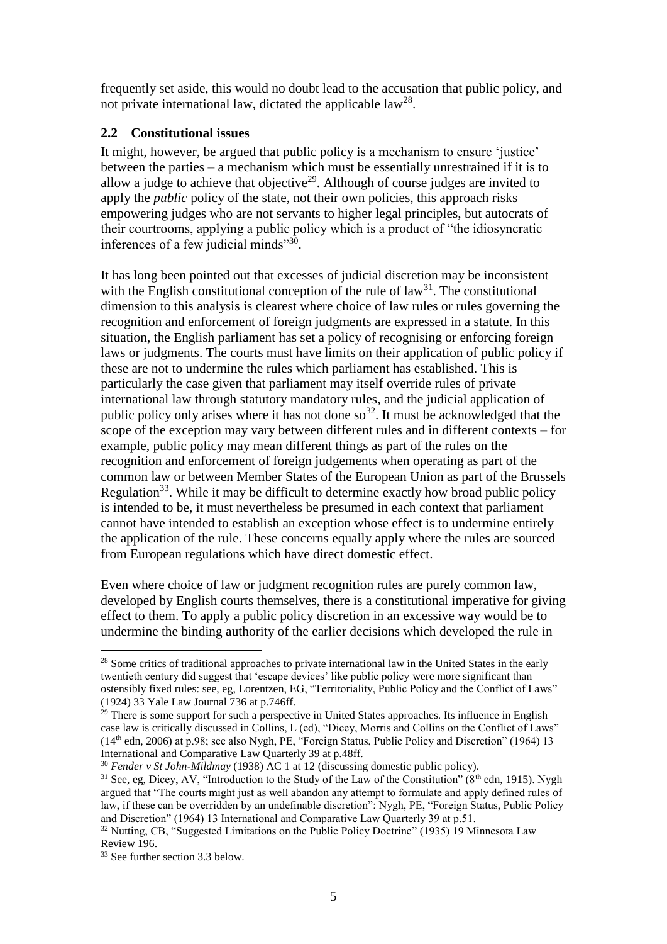frequently set aside, this would no doubt lead to the accusation that public policy, and not private international law, dictated the applicable  $law^{28}$ .

#### **2.2 Constitutional issues**

It might, however, be argued that public policy is a mechanism to ensure 'justice' between the parties – a mechanism which must be essentially unrestrained if it is to allow a judge to achieve that objective<sup>29</sup>. Although of course judges are invited to apply the *public* policy of the state, not their own policies, this approach risks empowering judges who are not servants to higher legal principles, but autocrats of their courtrooms, applying a public policy which is a product of "the idiosyncratic inferences of a few judicial minds"30.

It has long been pointed out that excesses of judicial discretion may be inconsistent with the English constitutional conception of the rule of  $law<sup>31</sup>$ . The constitutional dimension to this analysis is clearest where choice of law rules or rules governing the recognition and enforcement of foreign judgments are expressed in a statute. In this situation, the English parliament has set a policy of recognising or enforcing foreign laws or judgments. The courts must have limits on their application of public policy if these are not to undermine the rules which parliament has established. This is particularly the case given that parliament may itself override rules of private international law through statutory mandatory rules, and the judicial application of public policy only arises where it has not done  $\delta^{32}$ . It must be acknowledged that the scope of the exception may vary between different rules and in different contexts – for example, public policy may mean different things as part of the rules on the recognition and enforcement of foreign judgements when operating as part of the common law or between Member States of the European Union as part of the Brussels Regulation<sup>33</sup>. While it may be difficult to determine exactly how broad public policy is intended to be, it must nevertheless be presumed in each context that parliament cannot have intended to establish an exception whose effect is to undermine entirely the application of the rule. These concerns equally apply where the rules are sourced from European regulations which have direct domestic effect.

Even where choice of law or judgment recognition rules are purely common law, developed by English courts themselves, there is a constitutional imperative for giving effect to them. To apply a public policy discretion in an excessive way would be to undermine the binding authority of the earlier decisions which developed the rule in

<sup>&</sup>lt;sup>28</sup> Some critics of traditional approaches to private international law in the United States in the early twentieth century did suggest that 'escape devices' like public policy were more significant than ostensibly fixed rules: see, eg, Lorentzen, EG, "Territoriality, Public Policy and the Conflict of Laws" (1924) 33 Yale Law Journal 736 at p.746ff.

 $^{29}$  There is some support for such a perspective in United States approaches. Its influence in English case law is critically discussed in Collins, L (ed), "Dicey, Morris and Collins on the Conflict of Laws" (14th edn, 2006) at p.98; see also Nygh, PE, "Foreign Status, Public Policy and Discretion" (1964) 13 International and Comparative Law Quarterly 39 at p.48ff.

<sup>30</sup> *Fender v St John-Mildmay* (1938) AC 1 at 12 (discussing domestic public policy).

 $31$  See, eg, Dicey, AV, "Introduction to the Study of the Law of the Constitution" ( $8<sup>th</sup>$  edn, 1915). Nygh argued that "The courts might just as well abandon any attempt to formulate and apply defined rules of law, if these can be overridden by an undefinable discretion": Nygh, PE, "Foreign Status, Public Policy and Discretion" (1964) 13 International and Comparative Law Quarterly 39 at p.51.

<sup>&</sup>lt;sup>32</sup> Nutting, CB, "Suggested Limitations on the Public Policy Doctrine" (1935) 19 Minnesota Law Review 196.

<sup>33</sup> See further section 3.3 below.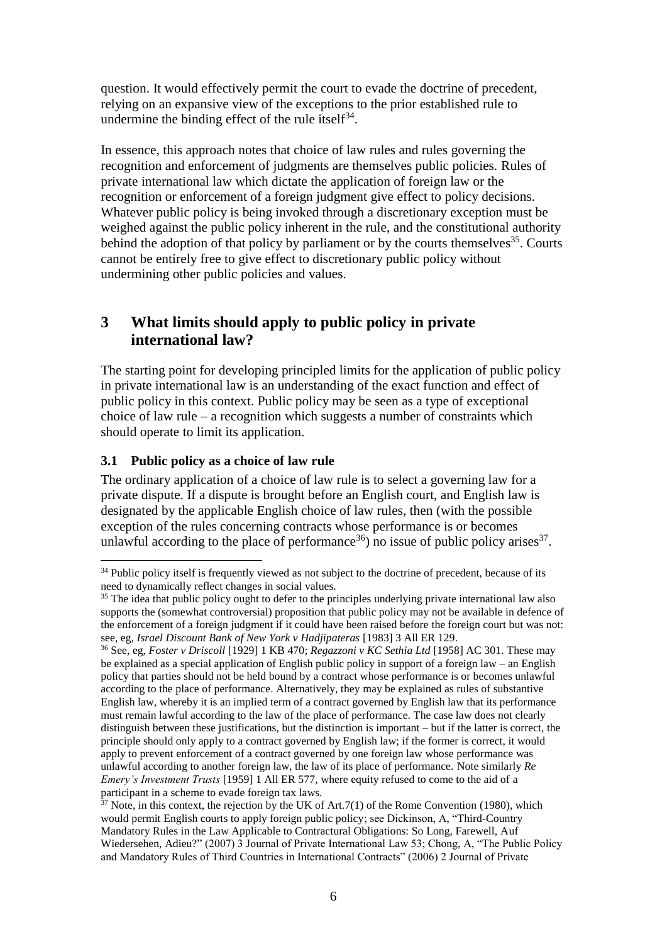question. It would effectively permit the court to evade the doctrine of precedent, relying on an expansive view of the exceptions to the prior established rule to undermine the binding effect of the rule itself $^{34}$ .

In essence, this approach notes that choice of law rules and rules governing the recognition and enforcement of judgments are themselves public policies. Rules of private international law which dictate the application of foreign law or the recognition or enforcement of a foreign judgment give effect to policy decisions. Whatever public policy is being invoked through a discretionary exception must be weighed against the public policy inherent in the rule, and the constitutional authority behind the adoption of that policy by parliament or by the courts themselves<sup>35</sup>. Courts cannot be entirely free to give effect to discretionary public policy without undermining other public policies and values.

# **3 What limits should apply to public policy in private international law?**

The starting point for developing principled limits for the application of public policy in private international law is an understanding of the exact function and effect of public policy in this context. Public policy may be seen as a type of exceptional choice of law rule – a recognition which suggests a number of constraints which should operate to limit its application.

## **3.1 Public policy as a choice of law rule**

1

The ordinary application of a choice of law rule is to select a governing law for a private dispute. If a dispute is brought before an English court, and English law is designated by the applicable English choice of law rules, then (with the possible exception of the rules concerning contracts whose performance is or becomes unlawful according to the place of performance<sup>36</sup>) no issue of public policy arises<sup>37</sup>.

 $34$  Public policy itself is frequently viewed as not subject to the doctrine of precedent, because of its need to dynamically reflect changes in social values.

<sup>&</sup>lt;sup>35</sup> The idea that public policy ought to defer to the principles underlying private international law also supports the (somewhat controversial) proposition that public policy may not be available in defence of the enforcement of a foreign judgment if it could have been raised before the foreign court but was not: see, eg, *Israel Discount Bank of New York v Hadjipateras* [1983] 3 All ER 129.

<sup>36</sup> See, eg, *Foster v Driscoll* [1929] 1 KB 470; *Regazzoni v KC Sethia Ltd* [1958] AC 301. These may be explained as a special application of English public policy in support of a foreign law – an English policy that parties should not be held bound by a contract whose performance is or becomes unlawful according to the place of performance. Alternatively, they may be explained as rules of substantive English law, whereby it is an implied term of a contract governed by English law that its performance must remain lawful according to the law of the place of performance. The case law does not clearly distinguish between these justifications, but the distinction is important – but if the latter is correct, the principle should only apply to a contract governed by English law; if the former is correct, it would apply to prevent enforcement of a contract governed by one foreign law whose performance was unlawful according to another foreign law, the law of its place of performance. Note similarly *Re Emery's Investment Trusts* [1959] 1 All ER 577, where equity refused to come to the aid of a participant in a scheme to evade foreign tax laws.

 $37$  Note, in this context, the rejection by the UK of Art.7(1) of the Rome Convention (1980), which would permit English courts to apply foreign public policy; see Dickinson, A, "Third-Country Mandatory Rules in the Law Applicable to Contractural Obligations: So Long, Farewell, Auf Wiedersehen, Adieu?" (2007) 3 Journal of Private International Law 53; Chong, A, "The Public Policy and Mandatory Rules of Third Countries in International Contracts" (2006) 2 Journal of Private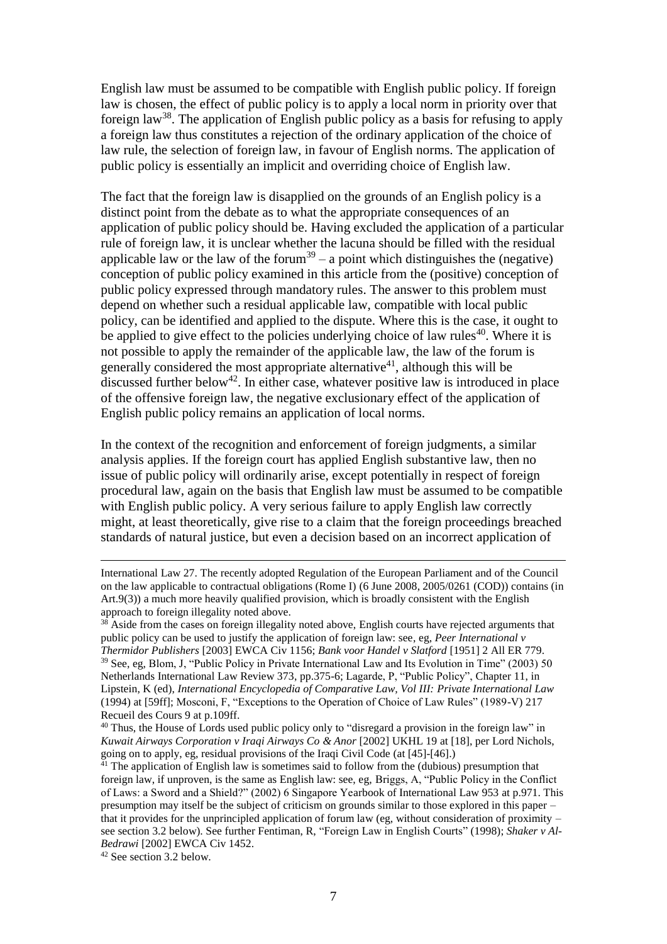English law must be assumed to be compatible with English public policy. If foreign law is chosen, the effect of public policy is to apply a local norm in priority over that foreign law<sup>38</sup>. The application of English public policy as a basis for refusing to apply a foreign law thus constitutes a rejection of the ordinary application of the choice of law rule, the selection of foreign law, in favour of English norms. The application of public policy is essentially an implicit and overriding choice of English law.

The fact that the foreign law is disapplied on the grounds of an English policy is a distinct point from the debate as to what the appropriate consequences of an application of public policy should be. Having excluded the application of a particular rule of foreign law, it is unclear whether the lacuna should be filled with the residual applicable law or the law of the forum<sup>39</sup> – a point which distinguishes the (negative) conception of public policy examined in this article from the (positive) conception of public policy expressed through mandatory rules. The answer to this problem must depend on whether such a residual applicable law, compatible with local public policy, can be identified and applied to the dispute. Where this is the case, it ought to be applied to give effect to the policies underlying choice of law rules<sup>40</sup>. Where it is not possible to apply the remainder of the applicable law, the law of the forum is generally considered the most appropriate alternative<sup>41</sup>, although this will be discussed further below<sup>42</sup>. In either case, whatever positive law is introduced in place of the offensive foreign law, the negative exclusionary effect of the application of English public policy remains an application of local norms.

In the context of the recognition and enforcement of foreign judgments, a similar analysis applies. If the foreign court has applied English substantive law, then no issue of public policy will ordinarily arise, except potentially in respect of foreign procedural law, again on the basis that English law must be assumed to be compatible with English public policy. A very serious failure to apply English law correctly might, at least theoretically, give rise to a claim that the foreign proceedings breached standards of natural justice, but even a decision based on an incorrect application of

<sup>42</sup> See section 3.2 below.

International Law 27. The recently adopted Regulation of the European Parliament and of the Council on the law applicable to contractual obligations (Rome I) (6 June 2008, 2005/0261 (COD)) contains (in Art.9(3)) a much more heavily qualified provision, which is broadly consistent with the English approach to foreign illegality noted above.

 $38$  Aside from the cases on foreign illegality noted above, English courts have rejected arguments that public policy can be used to justify the application of foreign law: see, eg, *Peer International v Thermidor Publishers* [2003] EWCA Civ 1156; *Bank voor Handel v Slatford* [1951] 2 All ER 779. <sup>39</sup> See, eg, Blom, J, "Public Policy in Private International Law and Its Evolution in Time" (2003) 50 Netherlands International Law Review 373, pp.375-6; Lagarde, P, "Public Policy", Chapter 11, in Lipstein, K (ed), *International Encyclopedia of Comparative Law, Vol III: Private International Law* (1994) at [59ff]; Mosconi, F, "Exceptions to the Operation of Choice of Law Rules" (1989-V) 217 Recueil des Cours 9 at p.109ff.

<sup>&</sup>lt;sup>40</sup> Thus, the House of Lords used public policy only to "disregard a provision in the foreign law" in *Kuwait Airways Corporation v Iraqi Airways Co & Anor* [2002] UKHL 19 at [18], per Lord Nichols, going on to apply, eg, residual provisions of the Iraqi Civil Code (at [45]-[46].)

 $41$  The application of English law is sometimes said to follow from the (dubious) presumption that foreign law, if unproven, is the same as English law: see, eg, Briggs, A, "Public Policy in the Conflict of Laws: a Sword and a Shield?" (2002) 6 Singapore Yearbook of International Law 953 at p.971. This presumption may itself be the subject of criticism on grounds similar to those explored in this paper – that it provides for the unprincipled application of forum law (eg, without consideration of proximity – see section 3.2 below). See further Fentiman, R, "Foreign Law in English Courts" (1998); *Shaker v Al-Bedrawi* [2002] EWCA Civ 1452.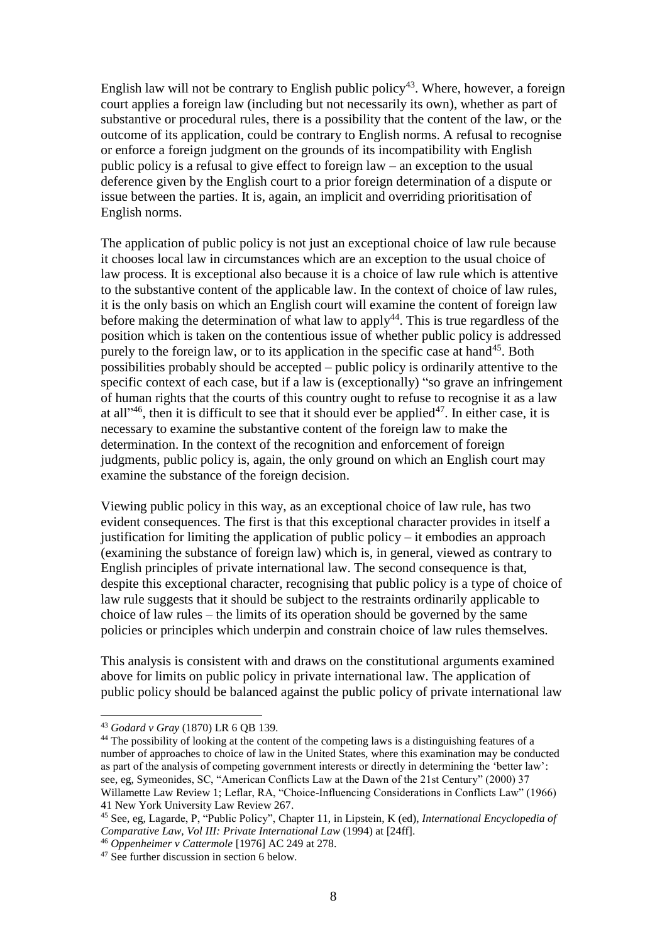English law will not be contrary to English public policy<sup>43</sup>. Where, however, a foreign court applies a foreign law (including but not necessarily its own), whether as part of substantive or procedural rules, there is a possibility that the content of the law, or the outcome of its application, could be contrary to English norms. A refusal to recognise or enforce a foreign judgment on the grounds of its incompatibility with English public policy is a refusal to give effect to foreign law – an exception to the usual deference given by the English court to a prior foreign determination of a dispute or issue between the parties. It is, again, an implicit and overriding prioritisation of English norms.

The application of public policy is not just an exceptional choice of law rule because it chooses local law in circumstances which are an exception to the usual choice of law process. It is exceptional also because it is a choice of law rule which is attentive to the substantive content of the applicable law. In the context of choice of law rules, it is the only basis on which an English court will examine the content of foreign law before making the determination of what law to apply<sup>44</sup>. This is true regardless of the position which is taken on the contentious issue of whether public policy is addressed purely to the foreign law, or to its application in the specific case at hand<sup>45</sup>. Both possibilities probably should be accepted – public policy is ordinarily attentive to the specific context of each case, but if a law is (exceptionally) "so grave an infringement of human rights that the courts of this country ought to refuse to recognise it as a law at all<sup> $1,46$ </sup>, then it is difficult to see that it should ever be applied<sup>47</sup>. In either case, it is necessary to examine the substantive content of the foreign law to make the determination. In the context of the recognition and enforcement of foreign judgments, public policy is, again, the only ground on which an English court may examine the substance of the foreign decision.

Viewing public policy in this way, as an exceptional choice of law rule, has two evident consequences. The first is that this exceptional character provides in itself a justification for limiting the application of public policy – it embodies an approach (examining the substance of foreign law) which is, in general, viewed as contrary to English principles of private international law. The second consequence is that, despite this exceptional character, recognising that public policy is a type of choice of law rule suggests that it should be subject to the restraints ordinarily applicable to choice of law rules – the limits of its operation should be governed by the same policies or principles which underpin and constrain choice of law rules themselves.

This analysis is consistent with and draws on the constitutional arguments examined above for limits on public policy in private international law. The application of public policy should be balanced against the public policy of private international law

<sup>43</sup> *Godard v Gray* (1870) LR 6 QB 139.

<sup>&</sup>lt;sup>44</sup> The possibility of looking at the content of the competing laws is a distinguishing features of a number of approaches to choice of law in the United States, where this examination may be conducted as part of the analysis of competing government interests or directly in determining the 'better law': see, eg, Symeonides, SC, "American Conflicts Law at the Dawn of the 21st Century" (2000) 37 Willamette Law Review 1; Leflar, RA, "Choice-Influencing Considerations in Conflicts Law" (1966) 41 New York University Law Review 267.

<sup>45</sup> See, eg, Lagarde, P, "Public Policy", Chapter 11, in Lipstein, K (ed), *International Encyclopedia of Comparative Law, Vol III: Private International Law* (1994) at [24ff].

<sup>46</sup> *Oppenheimer v Cattermole* [1976] AC 249 at 278.

<sup>&</sup>lt;sup>47</sup> See further discussion in section 6 below.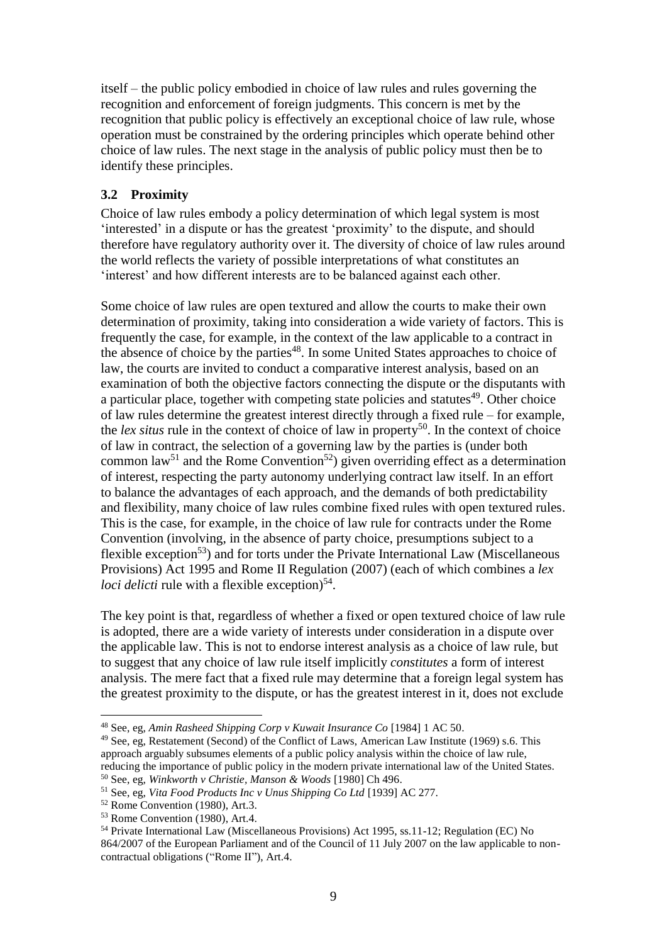itself – the public policy embodied in choice of law rules and rules governing the recognition and enforcement of foreign judgments. This concern is met by the recognition that public policy is effectively an exceptional choice of law rule, whose operation must be constrained by the ordering principles which operate behind other choice of law rules. The next stage in the analysis of public policy must then be to identify these principles.

### **3.2 Proximity**

Choice of law rules embody a policy determination of which legal system is most 'interested' in a dispute or has the greatest 'proximity' to the dispute, and should therefore have regulatory authority over it. The diversity of choice of law rules around the world reflects the variety of possible interpretations of what constitutes an 'interest' and how different interests are to be balanced against each other.

Some choice of law rules are open textured and allow the courts to make their own determination of proximity, taking into consideration a wide variety of factors. This is frequently the case, for example, in the context of the law applicable to a contract in the absence of choice by the parties<sup>48</sup>. In some United States approaches to choice of law, the courts are invited to conduct a comparative interest analysis, based on an examination of both the objective factors connecting the dispute or the disputants with a particular place, together with competing state policies and statutes $49$ . Other choice of law rules determine the greatest interest directly through a fixed rule – for example, the *lex situs* rule in the context of choice of law in property<sup>50</sup>. In the context of choice of law in contract, the selection of a governing law by the parties is (under both common law<sup>51</sup> and the Rome Convention<sup>52</sup>) given overriding effect as a determination of interest, respecting the party autonomy underlying contract law itself. In an effort to balance the advantages of each approach, and the demands of both predictability and flexibility, many choice of law rules combine fixed rules with open textured rules. This is the case, for example, in the choice of law rule for contracts under the Rome Convention (involving, in the absence of party choice, presumptions subject to a flexible exception<sup>53</sup>) and for torts under the Private International Law (Miscellaneous Provisions) Act 1995 and Rome II Regulation (2007) (each of which combines a *lex loci delicti* rule with a flexible exception)<sup>54</sup>.

The key point is that, regardless of whether a fixed or open textured choice of law rule is adopted, there are a wide variety of interests under consideration in a dispute over the applicable law. This is not to endorse interest analysis as a choice of law rule, but to suggest that any choice of law rule itself implicitly *constitutes* a form of interest analysis. The mere fact that a fixed rule may determine that a foreign legal system has the greatest proximity to the dispute, or has the greatest interest in it, does not exclude

<sup>48</sup> See, eg, *Amin Rasheed Shipping Corp v Kuwait Insurance Co* [1984] 1 AC 50.

<sup>&</sup>lt;sup>49</sup> See, eg, Restatement (Second) of the Conflict of Laws, American Law Institute (1969) s.6. This approach arguably subsumes elements of a public policy analysis within the choice of law rule, reducing the importance of public policy in the modern private international law of the United States. <sup>50</sup> See, eg, *Winkworth v Christie, Manson & Woods* [1980] Ch 496.

<sup>51</sup> See, eg, *Vita Food Products Inc v Unus Shipping Co Ltd* [1939] AC 277.

<sup>52</sup> Rome Convention (1980), Art.3.

<sup>53</sup> Rome Convention (1980), Art.4.

<sup>54</sup> Private International Law (Miscellaneous Provisions) Act 1995, ss.11-12; Regulation (EC) No 864/2007 of the European Parliament and of the Council of 11 July 2007 on the law applicable to noncontractual obligations ("Rome II"), Art.4.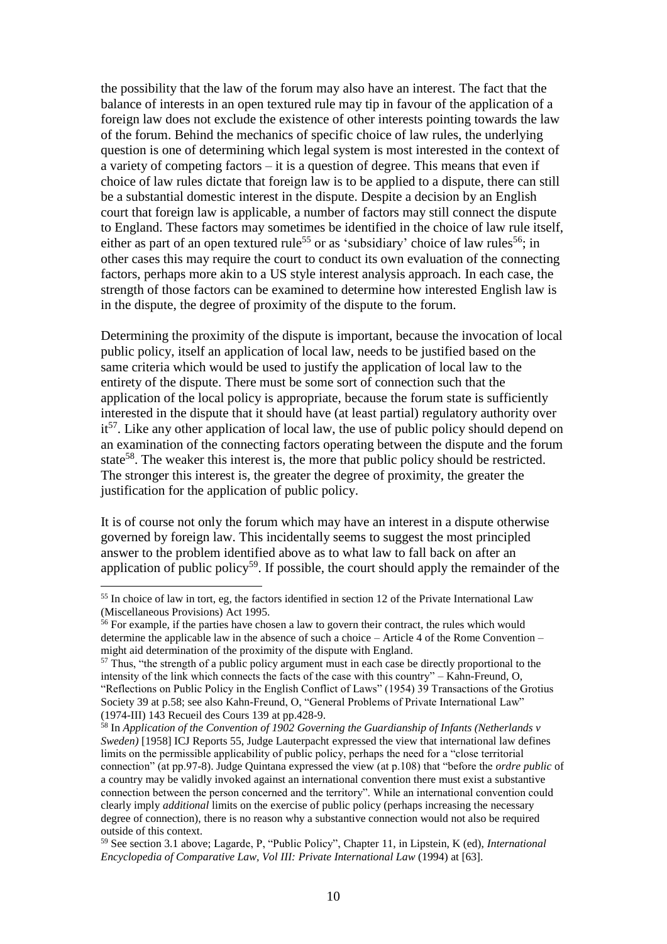the possibility that the law of the forum may also have an interest. The fact that the balance of interests in an open textured rule may tip in favour of the application of a foreign law does not exclude the existence of other interests pointing towards the law of the forum. Behind the mechanics of specific choice of law rules, the underlying question is one of determining which legal system is most interested in the context of a variety of competing factors – it is a question of degree. This means that even if choice of law rules dictate that foreign law is to be applied to a dispute, there can still be a substantial domestic interest in the dispute. Despite a decision by an English court that foreign law is applicable, a number of factors may still connect the dispute to England. These factors may sometimes be identified in the choice of law rule itself, either as part of an open textured rule<sup>55</sup> or as 'subsidiary' choice of law rules<sup>56</sup>; in other cases this may require the court to conduct its own evaluation of the connecting factors, perhaps more akin to a US style interest analysis approach. In each case, the strength of those factors can be examined to determine how interested English law is in the dispute, the degree of proximity of the dispute to the forum.

Determining the proximity of the dispute is important, because the invocation of local public policy, itself an application of local law, needs to be justified based on the same criteria which would be used to justify the application of local law to the entirety of the dispute. There must be some sort of connection such that the application of the local policy is appropriate, because the forum state is sufficiently interested in the dispute that it should have (at least partial) regulatory authority over it<sup>57</sup>. Like any other application of local law, the use of public policy should depend on an examination of the connecting factors operating between the dispute and the forum state<sup>58</sup>. The weaker this interest is, the more that public policy should be restricted. The stronger this interest is, the greater the degree of proximity, the greater the justification for the application of public policy.

It is of course not only the forum which may have an interest in a dispute otherwise governed by foreign law. This incidentally seems to suggest the most principled answer to the problem identified above as to what law to fall back on after an application of public policy<sup>59</sup>. If possible, the court should apply the remainder of the

<sup>&</sup>lt;sup>55</sup> In choice of law in tort, eg, the factors identified in section 12 of the Private International Law (Miscellaneous Provisions) Act 1995.

<sup>&</sup>lt;sup>56</sup> For example, if the parties have chosen a law to govern their contract, the rules which would determine the applicable law in the absence of such a choice – Article 4 of the Rome Convention – might aid determination of the proximity of the dispute with England.

<sup>&</sup>lt;sup>57</sup> Thus, "the strength of a public policy argument must in each case be directly proportional to the intensity of the link which connects the facts of the case with this country" – Kahn-Freund, O, "Reflections on Public Policy in the English Conflict of Laws" (1954) 39 Transactions of the Grotius Society 39 at p.58; see also Kahn-Freund, O, "General Problems of Private International Law" (1974-III) 143 Recueil des Cours 139 at pp.428-9.

<sup>58</sup> In *Application of the Convention of 1902 Governing the Guardianship of Infants (Netherlands v Sweden)* [1958] ICJ Reports 55, Judge Lauterpacht expressed the view that international law defines limits on the permissible applicability of public policy, perhaps the need for a "close territorial connection" (at pp.97-8). Judge Quintana expressed the view (at p.108) that "before the *ordre public* of a country may be validly invoked against an international convention there must exist a substantive connection between the person concerned and the territory". While an international convention could clearly imply *additional* limits on the exercise of public policy (perhaps increasing the necessary degree of connection), there is no reason why a substantive connection would not also be required outside of this context.

<sup>59</sup> See section 3.1 above; Lagarde, P, "Public Policy", Chapter 11, in Lipstein, K (ed), *International Encyclopedia of Comparative Law, Vol III: Private International Law* (1994) at [63].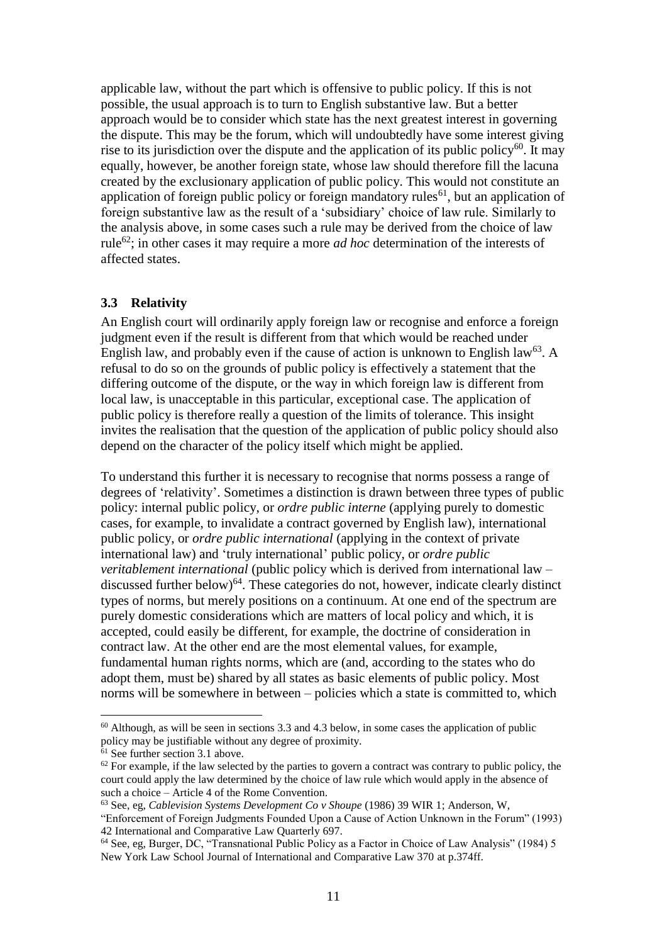applicable law, without the part which is offensive to public policy. If this is not possible, the usual approach is to turn to English substantive law. But a better approach would be to consider which state has the next greatest interest in governing the dispute. This may be the forum, which will undoubtedly have some interest giving rise to its jurisdiction over the dispute and the application of its public policy $^{60}$ . It may equally, however, be another foreign state, whose law should therefore fill the lacuna created by the exclusionary application of public policy. This would not constitute an application of foreign public policy or foreign mandatory rules<sup>61</sup>, but an application of foreign substantive law as the result of a 'subsidiary' choice of law rule. Similarly to the analysis above, in some cases such a rule may be derived from the choice of law rule<sup>62</sup>; in other cases it may require a more *ad hoc* determination of the interests of affected states.

#### **3.3 Relativity**

An English court will ordinarily apply foreign law or recognise and enforce a foreign judgment even if the result is different from that which would be reached under English law, and probably even if the cause of action is unknown to English law<sup>63</sup>. A refusal to do so on the grounds of public policy is effectively a statement that the differing outcome of the dispute, or the way in which foreign law is different from local law, is unacceptable in this particular, exceptional case. The application of public policy is therefore really a question of the limits of tolerance. This insight invites the realisation that the question of the application of public policy should also depend on the character of the policy itself which might be applied.

To understand this further it is necessary to recognise that norms possess a range of degrees of 'relativity'. Sometimes a distinction is drawn between three types of public policy: internal public policy, or *ordre public interne* (applying purely to domestic cases, for example, to invalidate a contract governed by English law), international public policy, or *ordre public international* (applying in the context of private international law) and 'truly international' public policy, or *ordre public veritablement international* (public policy which is derived from international law – discussed further below)<sup>64</sup>. These categories do not, however, indicate clearly distinct types of norms, but merely positions on a continuum. At one end of the spectrum are purely domestic considerations which are matters of local policy and which, it is accepted, could easily be different, for example, the doctrine of consideration in contract law. At the other end are the most elemental values, for example, fundamental human rights norms, which are (and, according to the states who do adopt them, must be) shared by all states as basic elements of public policy. Most norms will be somewhere in between – policies which a state is committed to, which

 $60$  Although, as will be seen in sections 3.3 and 4.3 below, in some cases the application of public policy may be justifiable without any degree of proximity.

<sup>&</sup>lt;sup>61</sup> See further section 3.1 above.

 $62$  For example, if the law selected by the parties to govern a contract was contrary to public policy, the court could apply the law determined by the choice of law rule which would apply in the absence of such a choice – Article 4 of the Rome Convention.

<sup>63</sup> See, eg, *Cablevision Systems Development Co v Shoupe* (1986) 39 WIR 1; Anderson, W,

<sup>&</sup>quot;Enforcement of Foreign Judgments Founded Upon a Cause of Action Unknown in the Forum" (1993) 42 International and Comparative Law Quarterly 697.

<sup>64</sup> See, eg, Burger, DC, "Transnational Public Policy as a Factor in Choice of Law Analysis" (1984) 5 New York Law School Journal of International and Comparative Law 370 at p.374ff.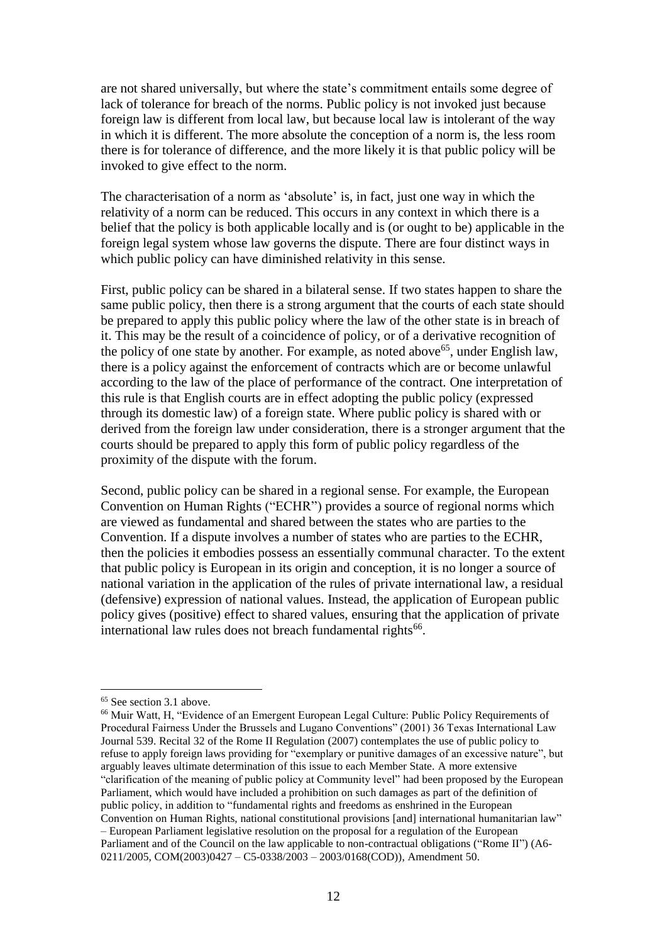are not shared universally, but where the state's commitment entails some degree of lack of tolerance for breach of the norms. Public policy is not invoked just because foreign law is different from local law, but because local law is intolerant of the way in which it is different. The more absolute the conception of a norm is, the less room there is for tolerance of difference, and the more likely it is that public policy will be invoked to give effect to the norm.

The characterisation of a norm as 'absolute' is, in fact, just one way in which the relativity of a norm can be reduced. This occurs in any context in which there is a belief that the policy is both applicable locally and is (or ought to be) applicable in the foreign legal system whose law governs the dispute. There are four distinct ways in which public policy can have diminished relativity in this sense.

First, public policy can be shared in a bilateral sense. If two states happen to share the same public policy, then there is a strong argument that the courts of each state should be prepared to apply this public policy where the law of the other state is in breach of it. This may be the result of a coincidence of policy, or of a derivative recognition of the policy of one state by another. For example, as noted above<sup>65</sup>, under English law, there is a policy against the enforcement of contracts which are or become unlawful according to the law of the place of performance of the contract. One interpretation of this rule is that English courts are in effect adopting the public policy (expressed through its domestic law) of a foreign state. Where public policy is shared with or derived from the foreign law under consideration, there is a stronger argument that the courts should be prepared to apply this form of public policy regardless of the proximity of the dispute with the forum.

Second, public policy can be shared in a regional sense. For example, the European Convention on Human Rights ("ECHR") provides a source of regional norms which are viewed as fundamental and shared between the states who are parties to the Convention. If a dispute involves a number of states who are parties to the ECHR, then the policies it embodies possess an essentially communal character. To the extent that public policy is European in its origin and conception, it is no longer a source of national variation in the application of the rules of private international law, a residual (defensive) expression of national values. Instead, the application of European public policy gives (positive) effect to shared values, ensuring that the application of private international law rules does not breach fundamental rights<sup>66</sup>.

<sup>&</sup>lt;sup>65</sup> See section 3.1 above.

<sup>66</sup> Muir Watt, H, "Evidence of an Emergent European Legal Culture: Public Policy Requirements of Procedural Fairness Under the Brussels and Lugano Conventions" (2001) 36 Texas International Law Journal 539. Recital 32 of the Rome II Regulation (2007) contemplates the use of public policy to refuse to apply foreign laws providing for "exemplary or punitive damages of an excessive nature", but arguably leaves ultimate determination of this issue to each Member State. A more extensive "clarification of the meaning of public policy at Community level" had been proposed by the European Parliament, which would have included a prohibition on such damages as part of the definition of public policy, in addition to "fundamental rights and freedoms as enshrined in the European Convention on Human Rights, national constitutional provisions [and] international humanitarian law" – European Parliament legislative resolution on the proposal for a regulation of the European Parliament and of the Council on the law applicable to non-contractual obligations ("Rome II") (A6- 0211/2005, COM(2003)0427 – C5-0338/2003 – 2003/0168(COD)), Amendment 50.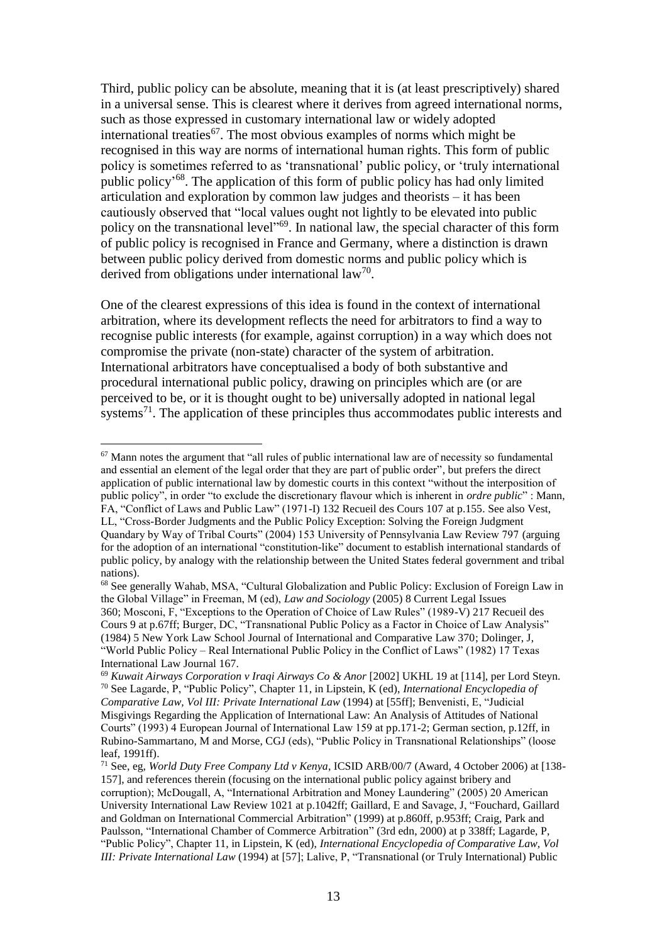Third, public policy can be absolute, meaning that it is (at least prescriptively) shared in a universal sense. This is clearest where it derives from agreed international norms, such as those expressed in customary international law or widely adopted international treaties<sup>67</sup>. The most obvious examples of norms which might be recognised in this way are norms of international human rights. This form of public policy is sometimes referred to as 'transnational' public policy, or 'truly international public policy' <sup>68</sup>. The application of this form of public policy has had only limited articulation and exploration by common law judges and theorists – it has been cautiously observed that "local values ought not lightly to be elevated into public policy on the transnational level<sup>169</sup>. In national law, the special character of this form of public policy is recognised in France and Germany, where a distinction is drawn between public policy derived from domestic norms and public policy which is derived from obligations under international  $law^{70}$ .

One of the clearest expressions of this idea is found in the context of international arbitration, where its development reflects the need for arbitrators to find a way to recognise public interests (for example, against corruption) in a way which does not compromise the private (non-state) character of the system of arbitration. International arbitrators have conceptualised a body of both substantive and procedural international public policy, drawing on principles which are (or are perceived to be, or it is thought ought to be) universally adopted in national legal systems<sup>71</sup>. The application of these principles thus accommodates public interests and

<sup>67</sup> Mann notes the argument that "all rules of public international law are of necessity so fundamental and essential an element of the legal order that they are part of public order", but prefers the direct application of public international law by domestic courts in this context "without the interposition of public policy", in order "to exclude the discretionary flavour which is inherent in *ordre public*" : Mann, FA, "Conflict of Laws and Public Law" (1971-I) 132 Recueil des Cours 107 at p.155. See also Vest, LL, "Cross-Border Judgments and the Public Policy Exception: Solving the Foreign Judgment Quandary by Way of Tribal Courts" (2004) 153 University of Pennsylvania Law Review 797 (arguing for the adoption of an international "constitution-like" document to establish international standards of public policy, by analogy with the relationship between the United States federal government and tribal nations).

<sup>68</sup> See generally Wahab, MSA, "Cultural Globalization and Public Policy: Exclusion of Foreign Law in the Global Village" in Freeman, M (ed), *Law and Sociology* (2005) 8 Current Legal Issues 360; Mosconi, F, "Exceptions to the Operation of Choice of Law Rules" (1989-V) 217 Recueil des Cours 9 at p.67ff; Burger, DC, "Transnational Public Policy as a Factor in Choice of Law Analysis" (1984) 5 New York Law School Journal of International and Comparative Law 370; Dolinger, J, "World Public Policy – Real International Public Policy in the Conflict of Laws" (1982) 17 Texas International Law Journal 167.

<sup>69</sup> *Kuwait Airways Corporation v Iraqi Airways Co & Anor* [2002] UKHL 19 at [114], per Lord Steyn. <sup>70</sup> See Lagarde, P, "Public Policy", Chapter 11, in Lipstein, K (ed), *International Encyclopedia of Comparative Law, Vol III: Private International Law* (1994) at [55ff]; Benvenisti, E, "Judicial Misgivings Regarding the Application of International Law: An Analysis of Attitudes of National Courts" (1993) 4 European Journal of International Law 159 at pp.171-2; German section, p.12ff, in Rubino-Sammartano, M and Morse, CGJ (eds), "Public Policy in Transnational Relationships" (loose leaf, 1991ff).

<sup>71</sup> See, eg, *World Duty Free Company Ltd v Kenya*, ICSID ARB/00/7 (Award, 4 October 2006) at [138- 157], and references therein (focusing on the international public policy against bribery and corruption); McDougall, A, "International Arbitration and Money Laundering" (2005) 20 American University International Law Review 1021 at p.1042ff; Gaillard, E and Savage, J, "Fouchard, Gaillard and Goldman on International Commercial Arbitration" (1999) at p.860ff, p.953ff; Craig, Park and Paulsson, "International Chamber of Commerce Arbitration" (3rd edn, 2000) at p 338ff; Lagarde, P, "Public Policy", Chapter 11, in Lipstein, K (ed), *International Encyclopedia of Comparative Law, Vol III: Private International Law* (1994) at [57]; Lalive, P, "Transnational (or Truly International) Public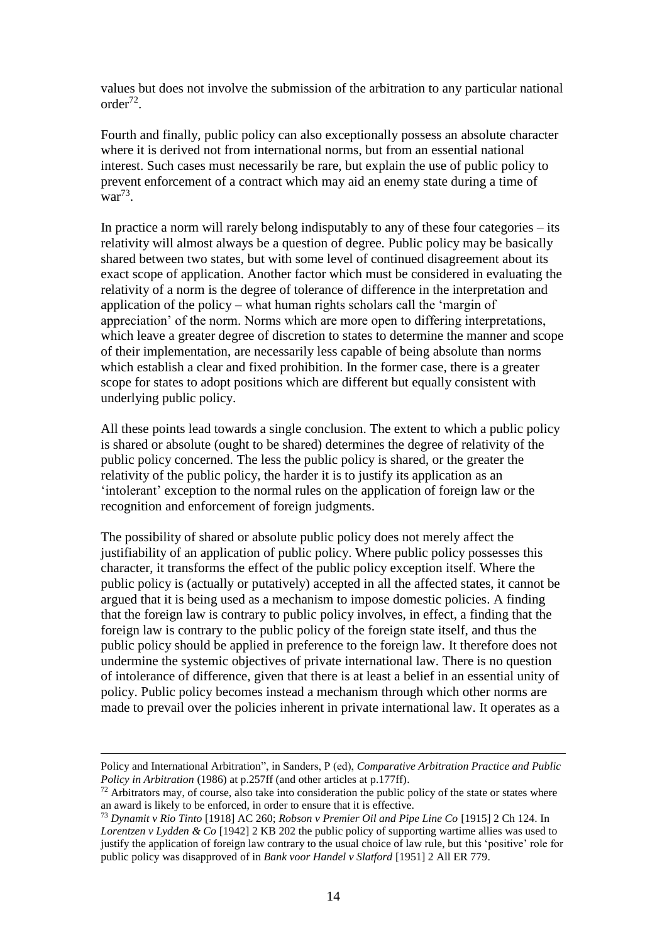values but does not involve the submission of the arbitration to any particular national  $order<sup>72</sup>$ .

Fourth and finally, public policy can also exceptionally possess an absolute character where it is derived not from international norms, but from an essential national interest. Such cases must necessarily be rare, but explain the use of public policy to prevent enforcement of a contract which may aid an enemy state during a time of  $\text{war}^{73}$ .

In practice a norm will rarely belong indisputably to any of these four categories – its relativity will almost always be a question of degree. Public policy may be basically shared between two states, but with some level of continued disagreement about its exact scope of application. Another factor which must be considered in evaluating the relativity of a norm is the degree of tolerance of difference in the interpretation and application of the policy – what human rights scholars call the 'margin of appreciation' of the norm. Norms which are more open to differing interpretations, which leave a greater degree of discretion to states to determine the manner and scope of their implementation, are necessarily less capable of being absolute than norms which establish a clear and fixed prohibition. In the former case, there is a greater scope for states to adopt positions which are different but equally consistent with underlying public policy.

All these points lead towards a single conclusion. The extent to which a public policy is shared or absolute (ought to be shared) determines the degree of relativity of the public policy concerned. The less the public policy is shared, or the greater the relativity of the public policy, the harder it is to justify its application as an 'intolerant' exception to the normal rules on the application of foreign law or the recognition and enforcement of foreign judgments.

The possibility of shared or absolute public policy does not merely affect the justifiability of an application of public policy. Where public policy possesses this character, it transforms the effect of the public policy exception itself. Where the public policy is (actually or putatively) accepted in all the affected states, it cannot be argued that it is being used as a mechanism to impose domestic policies. A finding that the foreign law is contrary to public policy involves, in effect, a finding that the foreign law is contrary to the public policy of the foreign state itself, and thus the public policy should be applied in preference to the foreign law. It therefore does not undermine the systemic objectives of private international law. There is no question of intolerance of difference, given that there is at least a belief in an essential unity of policy. Public policy becomes instead a mechanism through which other norms are made to prevail over the policies inherent in private international law. It operates as a

Policy and International Arbitration", in Sanders, P (ed), *Comparative Arbitration Practice and Public Policy in Arbitration* (1986) at p.257ff (and other articles at p.177ff).

 $72$  Arbitrators may, of course, also take into consideration the public policy of the state or states where an award is likely to be enforced, in order to ensure that it is effective.

<sup>73</sup> *Dynamit v Rio Tinto* [1918] AC 260; *Robson v Premier Oil and Pipe Line Co* [1915] 2 Ch 124. In *Lorentzen v Lydden & Co* [1942] 2 KB 202 the public policy of supporting wartime allies was used to justify the application of foreign law contrary to the usual choice of law rule, but this 'positive' role for public policy was disapproved of in *Bank voor Handel v Slatford* [1951] 2 All ER 779.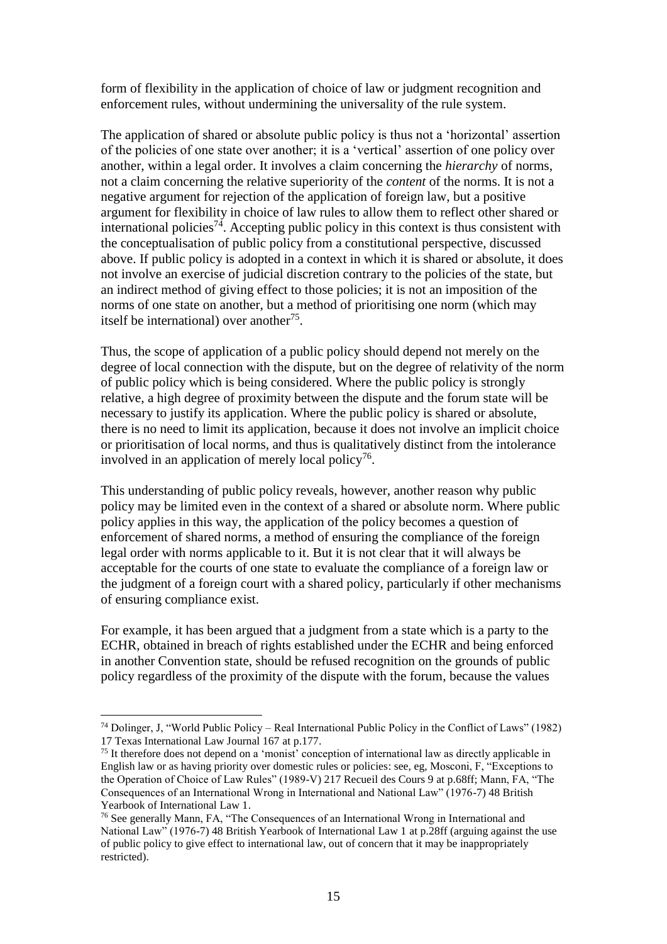form of flexibility in the application of choice of law or judgment recognition and enforcement rules, without undermining the universality of the rule system.

The application of shared or absolute public policy is thus not a 'horizontal' assertion of the policies of one state over another; it is a 'vertical' assertion of one policy over another, within a legal order. It involves a claim concerning the *hierarchy* of norms, not a claim concerning the relative superiority of the *content* of the norms. It is not a negative argument for rejection of the application of foreign law, but a positive argument for flexibility in choice of law rules to allow them to reflect other shared or international policies<sup>74</sup>. Accepting public policy in this context is thus consistent with the conceptualisation of public policy from a constitutional perspective, discussed above. If public policy is adopted in a context in which it is shared or absolute, it does not involve an exercise of judicial discretion contrary to the policies of the state, but an indirect method of giving effect to those policies; it is not an imposition of the norms of one state on another, but a method of prioritising one norm (which may itself be international) over another<sup>75</sup>.

Thus, the scope of application of a public policy should depend not merely on the degree of local connection with the dispute, but on the degree of relativity of the norm of public policy which is being considered. Where the public policy is strongly relative, a high degree of proximity between the dispute and the forum state will be necessary to justify its application. Where the public policy is shared or absolute, there is no need to limit its application, because it does not involve an implicit choice or prioritisation of local norms, and thus is qualitatively distinct from the intolerance involved in an application of merely local policy<sup>76</sup>.

This understanding of public policy reveals, however, another reason why public policy may be limited even in the context of a shared or absolute norm. Where public policy applies in this way, the application of the policy becomes a question of enforcement of shared norms, a method of ensuring the compliance of the foreign legal order with norms applicable to it. But it is not clear that it will always be acceptable for the courts of one state to evaluate the compliance of a foreign law or the judgment of a foreign court with a shared policy, particularly if other mechanisms of ensuring compliance exist.

For example, it has been argued that a judgment from a state which is a party to the ECHR, obtained in breach of rights established under the ECHR and being enforced in another Convention state, should be refused recognition on the grounds of public policy regardless of the proximity of the dispute with the forum, because the values

<sup>74</sup> Dolinger, J, "World Public Policy – Real International Public Policy in the Conflict of Laws" (1982) 17 Texas International Law Journal 167 at p.177.

<sup>75</sup> It therefore does not depend on a 'monist' conception of international law as directly applicable in English law or as having priority over domestic rules or policies: see, eg, Mosconi, F, "Exceptions to the Operation of Choice of Law Rules" (1989-V) 217 Recueil des Cours 9 at p.68ff; Mann, FA, "The Consequences of an International Wrong in International and National Law" (1976-7) 48 British Yearbook of International Law 1.

<sup>76</sup> See generally Mann, FA, "The Consequences of an International Wrong in International and National Law" (1976-7) 48 British Yearbook of International Law 1 at p.28ff (arguing against the use of public policy to give effect to international law, out of concern that it may be inappropriately restricted).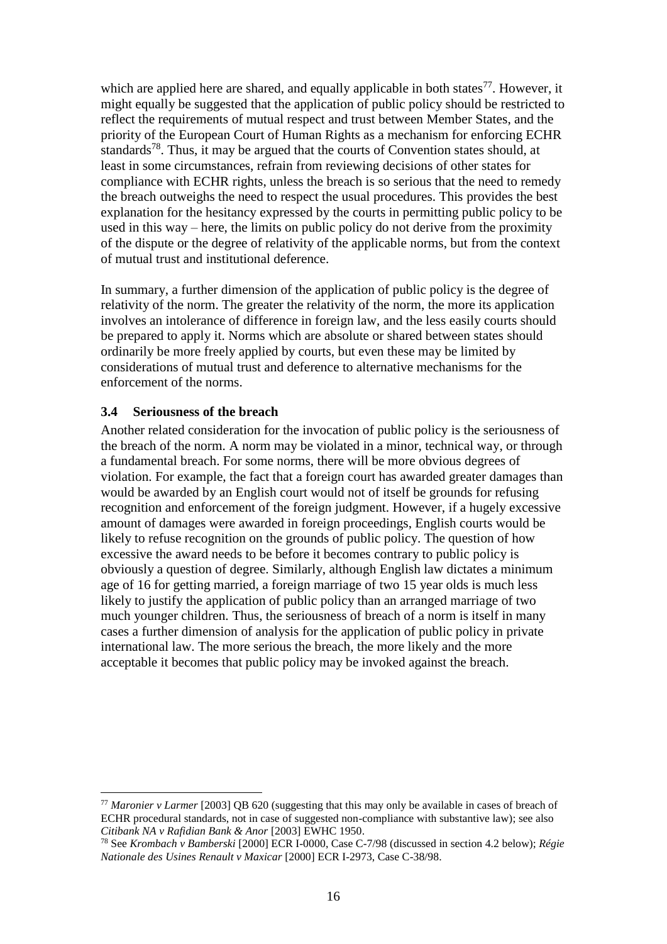which are applied here are shared, and equally applicable in both states $^{77}$ . However, it might equally be suggested that the application of public policy should be restricted to reflect the requirements of mutual respect and trust between Member States, and the priority of the European Court of Human Rights as a mechanism for enforcing ECHR standards<sup>78</sup>. Thus, it may be argued that the courts of Convention states should, at least in some circumstances, refrain from reviewing decisions of other states for compliance with ECHR rights, unless the breach is so serious that the need to remedy the breach outweighs the need to respect the usual procedures. This provides the best explanation for the hesitancy expressed by the courts in permitting public policy to be used in this way – here, the limits on public policy do not derive from the proximity of the dispute or the degree of relativity of the applicable norms, but from the context of mutual trust and institutional deference.

In summary, a further dimension of the application of public policy is the degree of relativity of the norm. The greater the relativity of the norm, the more its application involves an intolerance of difference in foreign law, and the less easily courts should be prepared to apply it. Norms which are absolute or shared between states should ordinarily be more freely applied by courts, but even these may be limited by considerations of mutual trust and deference to alternative mechanisms for the enforcement of the norms.

#### **3.4 Seriousness of the breach**

<u>.</u>

Another related consideration for the invocation of public policy is the seriousness of the breach of the norm. A norm may be violated in a minor, technical way, or through a fundamental breach. For some norms, there will be more obvious degrees of violation. For example, the fact that a foreign court has awarded greater damages than would be awarded by an English court would not of itself be grounds for refusing recognition and enforcement of the foreign judgment. However, if a hugely excessive amount of damages were awarded in foreign proceedings, English courts would be likely to refuse recognition on the grounds of public policy. The question of how excessive the award needs to be before it becomes contrary to public policy is obviously a question of degree. Similarly, although English law dictates a minimum age of 16 for getting married, a foreign marriage of two 15 year olds is much less likely to justify the application of public policy than an arranged marriage of two much younger children. Thus, the seriousness of breach of a norm is itself in many cases a further dimension of analysis for the application of public policy in private international law. The more serious the breach, the more likely and the more acceptable it becomes that public policy may be invoked against the breach.

<sup>77</sup> *Maronier v Larmer* [2003] QB 620 (suggesting that this may only be available in cases of breach of ECHR procedural standards, not in case of suggested non-compliance with substantive law); see also *Citibank NA v Rafidian Bank & Anor* [2003] EWHC 1950.

<sup>78</sup> See *Krombach v Bamberski* [2000] ECR I-0000, Case C-7/98 (discussed in section 4.2 below); *Régie Nationale des Usines Renault v Maxicar* [2000] ECR I-2973, Case C-38/98.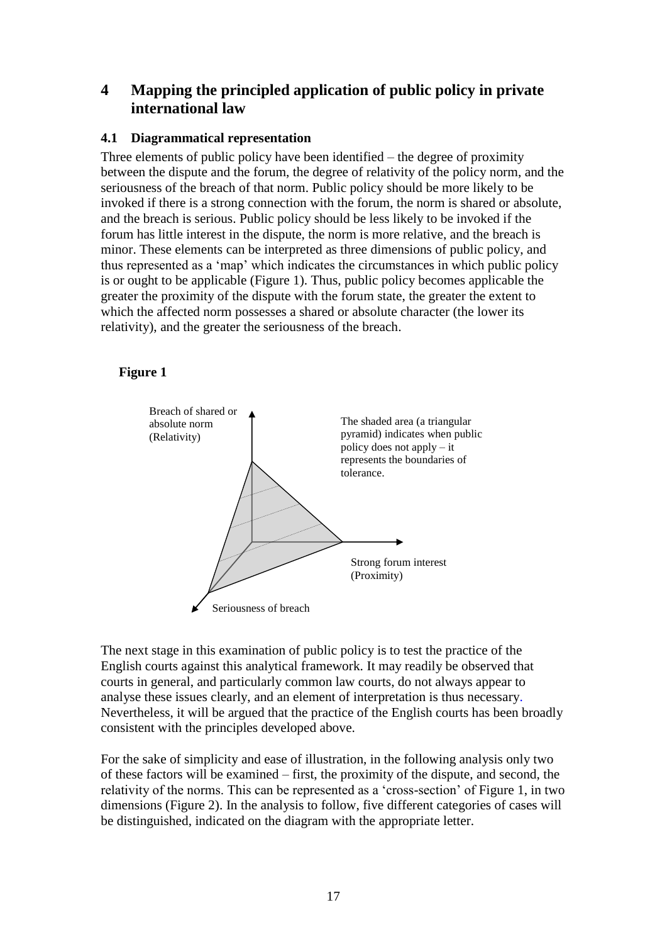# **4 Mapping the principled application of public policy in private international law**

### **4.1 Diagrammatical representation**

Three elements of public policy have been identified – the degree of proximity between the dispute and the forum, the degree of relativity of the policy norm, and the seriousness of the breach of that norm. Public policy should be more likely to be invoked if there is a strong connection with the forum, the norm is shared or absolute, and the breach is serious. Public policy should be less likely to be invoked if the forum has little interest in the dispute, the norm is more relative, and the breach is minor. These elements can be interpreted as three dimensions of public policy, and thus represented as a 'map' which indicates the circumstances in which public policy is or ought to be applicable (Figure 1). Thus, public policy becomes applicable the greater the proximity of the dispute with the forum state, the greater the extent to which the affected norm possesses a shared or absolute character (the lower its relativity), and the greater the seriousness of the breach.

#### **Figure 1**



The next stage in this examination of public policy is to test the practice of the English courts against this analytical framework. It may readily be observed that courts in general, and particularly common law courts, do not always appear to analyse these issues clearly, and an element of interpretation is thus necessary. Nevertheless, it will be argued that the practice of the English courts has been broadly consistent with the principles developed above.

For the sake of simplicity and ease of illustration, in the following analysis only two of these factors will be examined – first, the proximity of the dispute, and second, the relativity of the norms. This can be represented as a 'cross-section' of Figure 1, in two dimensions (Figure 2). In the analysis to follow, five different categories of cases will be distinguished, indicated on the diagram with the appropriate letter.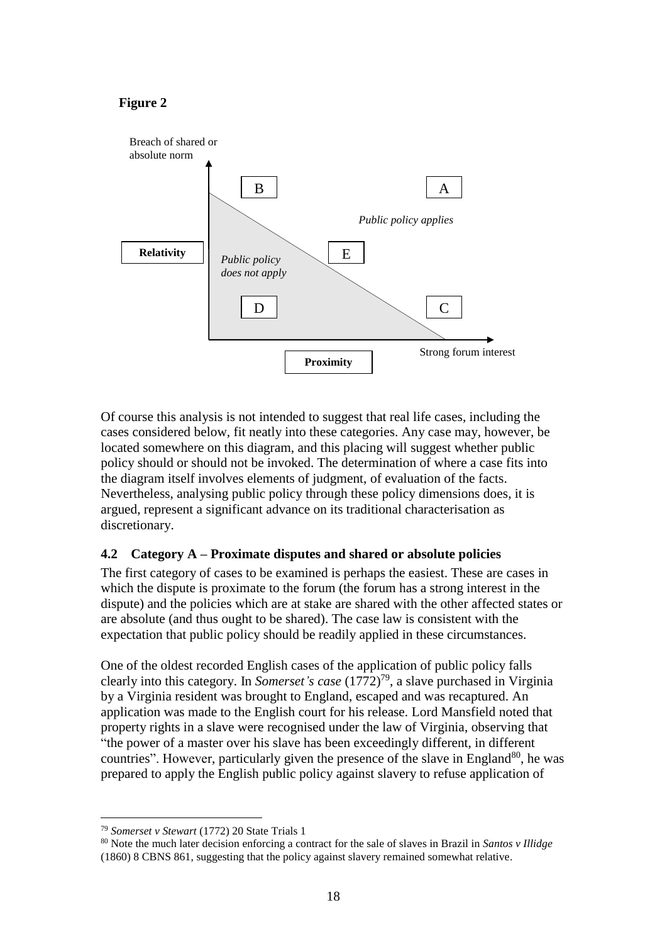### **Figure 2**



Of course this analysis is not intended to suggest that real life cases, including the cases considered below, fit neatly into these categories. Any case may, however, be located somewhere on this diagram, and this placing will suggest whether public policy should or should not be invoked. The determination of where a case fits into the diagram itself involves elements of judgment, of evaluation of the facts. Nevertheless, analysing public policy through these policy dimensions does, it is argued, represent a significant advance on its traditional characterisation as discretionary.

### **4.2 Category A – Proximate disputes and shared or absolute policies**

The first category of cases to be examined is perhaps the easiest. These are cases in which the dispute is proximate to the forum (the forum has a strong interest in the dispute) and the policies which are at stake are shared with the other affected states or are absolute (and thus ought to be shared). The case law is consistent with the expectation that public policy should be readily applied in these circumstances.

One of the oldest recorded English cases of the application of public policy falls clearly into this category. In *Somerset's case* (1772)<sup>79</sup>, a slave purchased in Virginia by a Virginia resident was brought to England, escaped and was recaptured. An application was made to the English court for his release. Lord Mansfield noted that property rights in a slave were recognised under the law of Virginia, observing that "the power of a master over his slave has been exceedingly different, in different countries". However, particularly given the presence of the slave in England<sup>80</sup>, he was prepared to apply the English public policy against slavery to refuse application of

<sup>79</sup> *Somerset v Stewart* (1772) 20 State Trials 1

<sup>80</sup> Note the much later decision enforcing a contract for the sale of slaves in Brazil in *Santos v Illidge* (1860) 8 CBNS 861, suggesting that the policy against slavery remained somewhat relative.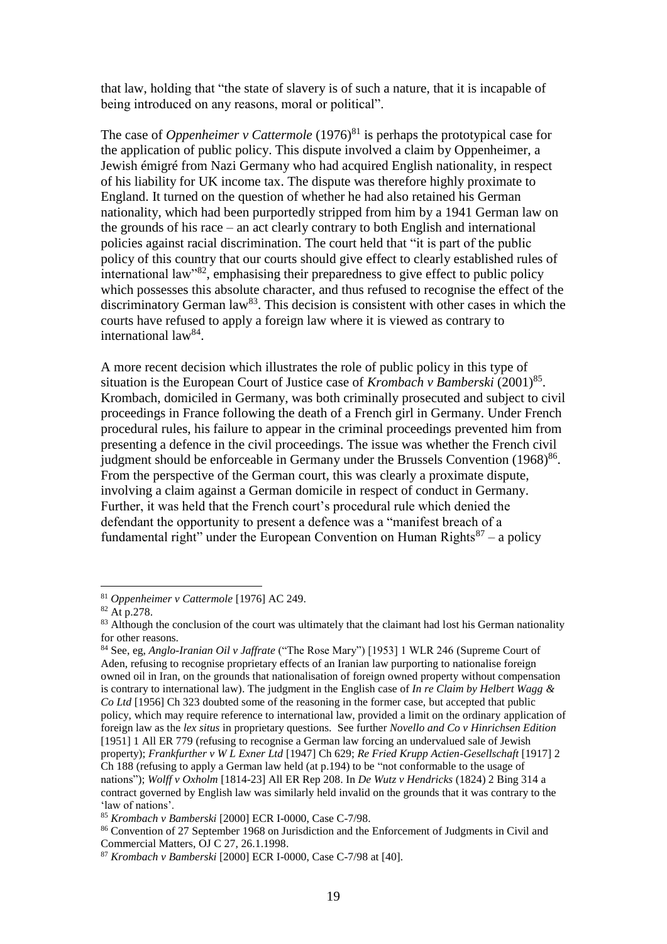that law, holding that "the state of slavery is of such a nature, that it is incapable of being introduced on any reasons, moral or political".

The case of *Oppenheimer v Cattermole* (1976) <sup>81</sup> is perhaps the prototypical case for the application of public policy. This dispute involved a claim by Oppenheimer, a Jewish émigré from Nazi Germany who had acquired English nationality, in respect of his liability for UK income tax. The dispute was therefore highly proximate to England. It turned on the question of whether he had also retained his German nationality, which had been purportedly stripped from him by a 1941 German law on the grounds of his race – an act clearly contrary to both English and international policies against racial discrimination. The court held that "it is part of the public policy of this country that our courts should give effect to clearly established rules of international law<sup>382</sup>, emphasising their preparedness to give effect to public policy which possesses this absolute character, and thus refused to recognise the effect of the discriminatory German  $law^{83}$ . This decision is consistent with other cases in which the courts have refused to apply a foreign law where it is viewed as contrary to international law<sup>84</sup>.

A more recent decision which illustrates the role of public policy in this type of situation is the European Court of Justice case of *Krombach v Bamberski* (2001)<sup>85</sup>. Krombach, domiciled in Germany, was both criminally prosecuted and subject to civil proceedings in France following the death of a French girl in Germany. Under French procedural rules, his failure to appear in the criminal proceedings prevented him from presenting a defence in the civil proceedings. The issue was whether the French civil judgment should be enforceable in Germany under the Brussels Convention (1968)<sup>86</sup>. From the perspective of the German court, this was clearly a proximate dispute, involving a claim against a German domicile in respect of conduct in Germany. Further, it was held that the French court's procedural rule which denied the defendant the opportunity to present a defence was a "manifest breach of a fundamental right" under the European Convention on Human Rights $87 - a$  policy

<sup>81</sup> *Oppenheimer v Cattermole* [1976] AC 249.

<sup>82</sup> At p.278.

<sup>&</sup>lt;sup>83</sup> Although the conclusion of the court was ultimately that the claimant had lost his German nationality for other reasons.

<sup>84</sup> See, eg, *Anglo-Iranian Oil v Jaffrate* ("The Rose Mary") [1953] 1 WLR 246 (Supreme Court of Aden, refusing to recognise proprietary effects of an Iranian law purporting to nationalise foreign owned oil in Iran, on the grounds that nationalisation of foreign owned property without compensation is contrary to international law). The judgment in the English case of *In re Claim by Helbert Wagg & Co Ltd* [1956] Ch 323 doubted some of the reasoning in the former case, but accepted that public policy, which may require reference to international law, provided a limit on the ordinary application of foreign law as the *lex situs* in proprietary questions. See further *Novello and Co v Hinrichsen Edition* [1951] 1 All ER 779 (refusing to recognise a German law forcing an undervalued sale of Jewish property); *Frankfurther v W L Exner Ltd* [1947] Ch 629; *Re Fried Krupp Actien-Gesellschaft* [1917] 2 Ch 188 (refusing to apply a German law held (at p.194) to be "not conformable to the usage of nations"); *Wolff v Oxholm* [1814-23] All ER Rep 208. In *De Wutz v Hendricks* (1824) 2 Bing 314 a contract governed by English law was similarly held invalid on the grounds that it was contrary to the 'law of nations'.

<sup>85</sup> *Krombach v Bamberski* [2000] ECR I-0000, Case C-7/98.

<sup>86</sup> Convention of 27 September 1968 on Jurisdiction and the Enforcement of Judgments in Civil and Commercial Matters, OJ C 27, 26.1.1998.

<sup>87</sup> *Krombach v Bamberski* [2000] ECR I-0000, Case C-7/98 at [40].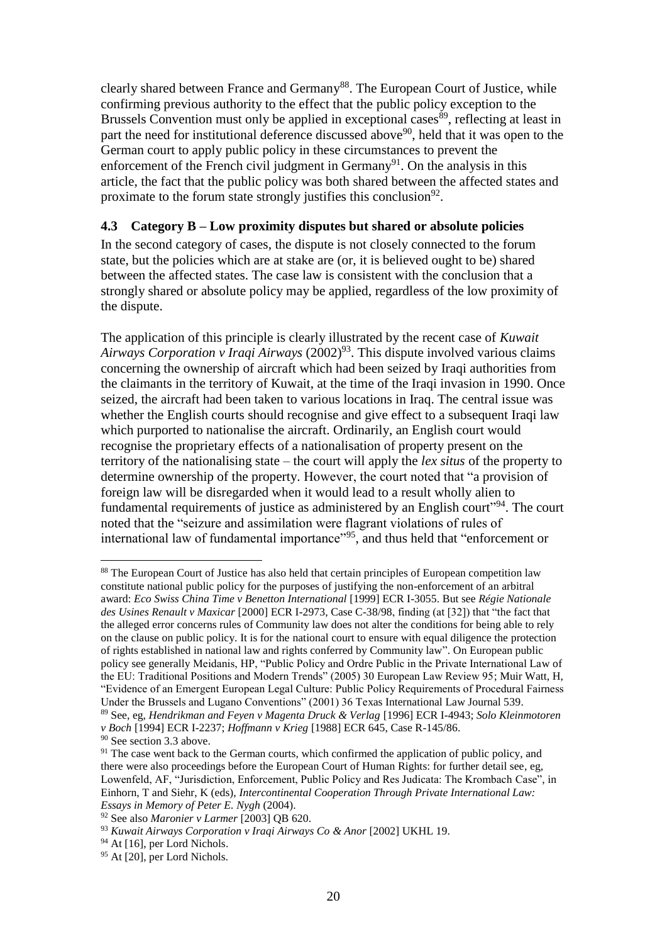clearly shared between France and Germany<sup>88</sup>. The European Court of Justice, while confirming previous authority to the effect that the public policy exception to the Brussels Convention must only be applied in exceptional cases<sup>89</sup>, reflecting at least in part the need for institutional deference discussed above<sup>90</sup>, held that it was open to the German court to apply public policy in these circumstances to prevent the enforcement of the French civil judgment in Germany<sup>91</sup>. On the analysis in this article, the fact that the public policy was both shared between the affected states and proximate to the forum state strongly justifies this conclusion<sup>92</sup>.

#### **4.3 Category B – Low proximity disputes but shared or absolute policies**

In the second category of cases, the dispute is not closely connected to the forum state, but the policies which are at stake are (or, it is believed ought to be) shared between the affected states. The case law is consistent with the conclusion that a strongly shared or absolute policy may be applied, regardless of the low proximity of the dispute.

The application of this principle is clearly illustrated by the recent case of *Kuwait Airways Corporation v Iraqi Airways* (2002)<sup>93</sup>. This dispute involved various claims concerning the ownership of aircraft which had been seized by Iraqi authorities from the claimants in the territory of Kuwait, at the time of the Iraqi invasion in 1990. Once seized, the aircraft had been taken to various locations in Iraq. The central issue was whether the English courts should recognise and give effect to a subsequent Iraqi law which purported to nationalise the aircraft. Ordinarily, an English court would recognise the proprietary effects of a nationalisation of property present on the territory of the nationalising state – the court will apply the *lex situs* of the property to determine ownership of the property. However, the court noted that "a provision of foreign law will be disregarded when it would lead to a result wholly alien to fundamental requirements of justice as administered by an English court"<sup>94</sup>. The court noted that the "seizure and assimilation were flagrant violations of rules of international law of fundamental importance<sup>"95</sup>, and thus held that "enforcement or

<sup>&</sup>lt;sup>88</sup> The European Court of Justice has also held that certain principles of European competition law constitute national public policy for the purposes of justifying the non-enforcement of an arbitral award: *Eco Swiss China Time v Benetton International* [1999] ECR I-3055. But see *Régie Nationale des Usines Renault v Maxicar* [2000] ECR I-2973, Case C-38/98, finding (at [32]) that "the fact that the alleged error concerns rules of Community law does not alter the conditions for being able to rely on the clause on public policy. It is for the national court to ensure with equal diligence the protection of rights established in national law and rights conferred by Community law". On European public policy see generally Meidanis, HP, "Public Policy and Ordre Public in the Private International Law of the EU: Traditional Positions and Modern Trends" (2005) 30 European Law Review 95; Muir Watt, H, "Evidence of an Emergent European Legal Culture: Public Policy Requirements of Procedural Fairness Under the Brussels and Lugano Conventions" (2001) 36 Texas International Law Journal 539.

<sup>89</sup> See, eg, *Hendrikman and Feyen v Magenta Druck & Verlag* [1996] ECR I-4943; *Solo Kleinmotoren v Boch* [1994] ECR I-2237; *Hoffmann v Krieg* [1988] ECR 645, Case R-145/86.

<sup>&</sup>lt;sup>90</sup> See section 3.3 above.

<sup>&</sup>lt;sup>91</sup> The case went back to the German courts, which confirmed the application of public policy, and there were also proceedings before the European Court of Human Rights: for further detail see, eg, Lowenfeld, AF, "Jurisdiction, Enforcement, Public Policy and Res Judicata: The Krombach Case", in Einhorn, T and Siehr, K (eds), *Intercontinental Cooperation Through Private International Law: Essays in Memory of Peter E. Nygh* (2004).

<sup>92</sup> See also *Maronier v Larmer* [2003] QB 620.

<sup>93</sup> *Kuwait Airways Corporation v Iraqi Airways Co & Anor* [2002] UKHL 19.

<sup>&</sup>lt;sup>94</sup> At [16], per Lord Nichols.

<sup>95</sup> At [20], per Lord Nichols.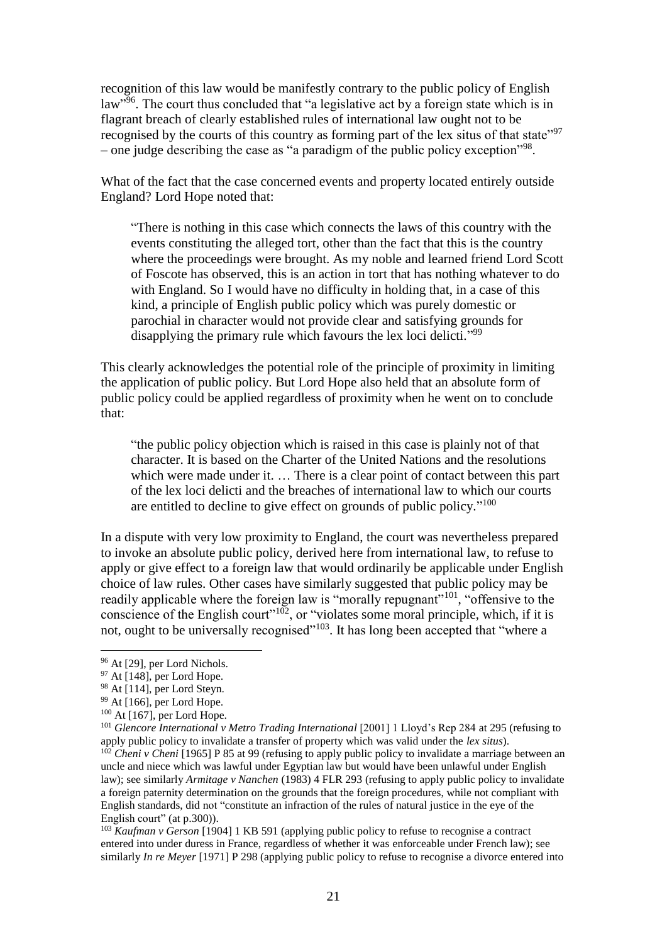recognition of this law would be manifestly contrary to the public policy of English law<sup>396</sup>. The court thus concluded that "a legislative act by a foreign state which is in flagrant breach of clearly established rules of international law ought not to be recognised by the courts of this country as forming part of the lex situs of that state"<sup>97</sup> – one judge describing the case as "a paradigm of the public policy exception"<sup>98</sup>.

What of the fact that the case concerned events and property located entirely outside England? Lord Hope noted that:

"There is nothing in this case which connects the laws of this country with the events constituting the alleged tort, other than the fact that this is the country where the proceedings were brought. As my noble and learned friend Lord Scott of Foscote has observed, this is an action in tort that has nothing whatever to do with England. So I would have no difficulty in holding that, in a case of this kind, a principle of English public policy which was purely domestic or parochial in character would not provide clear and satisfying grounds for disapplying the primary rule which favours the lex loci delicti."<sup>99</sup>

This clearly acknowledges the potential role of the principle of proximity in limiting the application of public policy. But Lord Hope also held that an absolute form of public policy could be applied regardless of proximity when he went on to conclude that:

"the public policy objection which is raised in this case is plainly not of that character. It is based on the Charter of the United Nations and the resolutions which were made under it. ... There is a clear point of contact between this part of the lex loci delicti and the breaches of international law to which our courts are entitled to decline to give effect on grounds of public policy."<sup>100</sup>

In a dispute with very low proximity to England, the court was nevertheless prepared to invoke an absolute public policy, derived here from international law, to refuse to apply or give effect to a foreign law that would ordinarily be applicable under English choice of law rules. Other cases have similarly suggested that public policy may be readily applicable where the foreign law is "morally repugnant"<sup>101</sup>, "offensive to the conscience of the English court<sup>"102</sup>, or "violates some moral principle, which, if it is not, ought to be universally recognised"<sup> $103$ </sup>. It has long been accepted that "where a

<sup>96</sup> At [29], per Lord Nichols.

<sup>97</sup> At [148], per Lord Hope.

<sup>98</sup> At [114], per Lord Steyn.

 $99$  At [166], per Lord Hope.

 $100$  At [167], per Lord Hope.

<sup>&</sup>lt;sup>101</sup> Glencore International v Metro Trading International [2001] 1 Lloyd's Rep 284 at 295 (refusing to apply public policy to invalidate a transfer of property which was valid under the *lex situs*).

<sup>&</sup>lt;sup>102</sup> *Cheni v Cheni* [1965] P 85 at 99 (refusing to apply public policy to invalidate a marriage between an uncle and niece which was lawful under Egyptian law but would have been unlawful under English law); see similarly *Armitage v Nanchen* (1983) 4 FLR 293 (refusing to apply public policy to invalidate a foreign paternity determination on the grounds that the foreign procedures, while not compliant with English standards, did not "constitute an infraction of the rules of natural justice in the eye of the English court" (at p.300)).

<sup>103</sup> *Kaufman v Gerson* [1904] 1 KB 591 (applying public policy to refuse to recognise a contract entered into under duress in France, regardless of whether it was enforceable under French law); see similarly *In re Meyer* [1971] P 298 (applying public policy to refuse to recognise a divorce entered into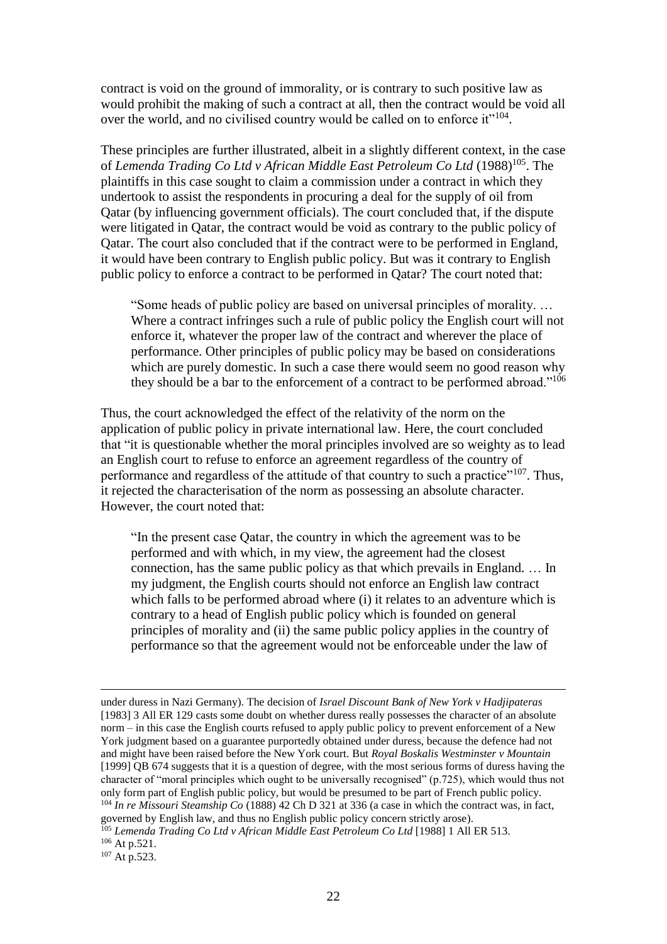contract is void on the ground of immorality, or is contrary to such positive law as would prohibit the making of such a contract at all, then the contract would be void all over the world, and no civilised country would be called on to enforce it"<sup>104</sup>.

These principles are further illustrated, albeit in a slightly different context, in the case of Lemenda Trading Co Ltd v African Middle East Petroleum Co Ltd (1988)<sup>105</sup>. The plaintiffs in this case sought to claim a commission under a contract in which they undertook to assist the respondents in procuring a deal for the supply of oil from Qatar (by influencing government officials). The court concluded that, if the dispute were litigated in Qatar, the contract would be void as contrary to the public policy of Qatar. The court also concluded that if the contract were to be performed in England, it would have been contrary to English public policy. But was it contrary to English public policy to enforce a contract to be performed in Qatar? The court noted that:

"Some heads of public policy are based on universal principles of morality. … Where a contract infringes such a rule of public policy the English court will not enforce it, whatever the proper law of the contract and wherever the place of performance. Other principles of public policy may be based on considerations which are purely domestic. In such a case there would seem no good reason why they should be a bar to the enforcement of a contract to be performed abroad."<sup>106</sup>

Thus, the court acknowledged the effect of the relativity of the norm on the application of public policy in private international law. Here, the court concluded that "it is questionable whether the moral principles involved are so weighty as to lead an English court to refuse to enforce an agreement regardless of the country of performance and regardless of the attitude of that country to such a practice"<sup>107</sup>. Thus, it rejected the characterisation of the norm as possessing an absolute character. However, the court noted that:

"In the present case Qatar, the country in which the agreement was to be performed and with which, in my view, the agreement had the closest connection, has the same public policy as that which prevails in England. … In my judgment, the English courts should not enforce an English law contract which falls to be performed abroad where (i) it relates to an adventure which is contrary to a head of English public policy which is founded on general principles of morality and (ii) the same public policy applies in the country of performance so that the agreement would not be enforceable under the law of

governed by English law, and thus no English public policy concern strictly arose).

<sup>105</sup> *Lemenda Trading Co Ltd v African Middle East Petroleum Co Ltd* [1988] 1 All ER 513.  $106$  At p.521.

 $107$  At p.523.

under duress in Nazi Germany). The decision of *Israel Discount Bank of New York v Hadjipateras* [1983] 3 All ER 129 casts some doubt on whether duress really possesses the character of an absolute norm – in this case the English courts refused to apply public policy to prevent enforcement of a New York judgment based on a guarantee purportedly obtained under duress, because the defence had not and might have been raised before the New York court. But *Royal Boskalis Westminster v Mountain* [1999] QB 674 suggests that it is a question of degree, with the most serious forms of duress having the character of "moral principles which ought to be universally recognised" (p.725), which would thus not only form part of English public policy, but would be presumed to be part of French public policy. <sup>104</sup> *In re Missouri Steamship Co* (1888) 42 Ch D 321 at 336 (a case in which the contract was, in fact,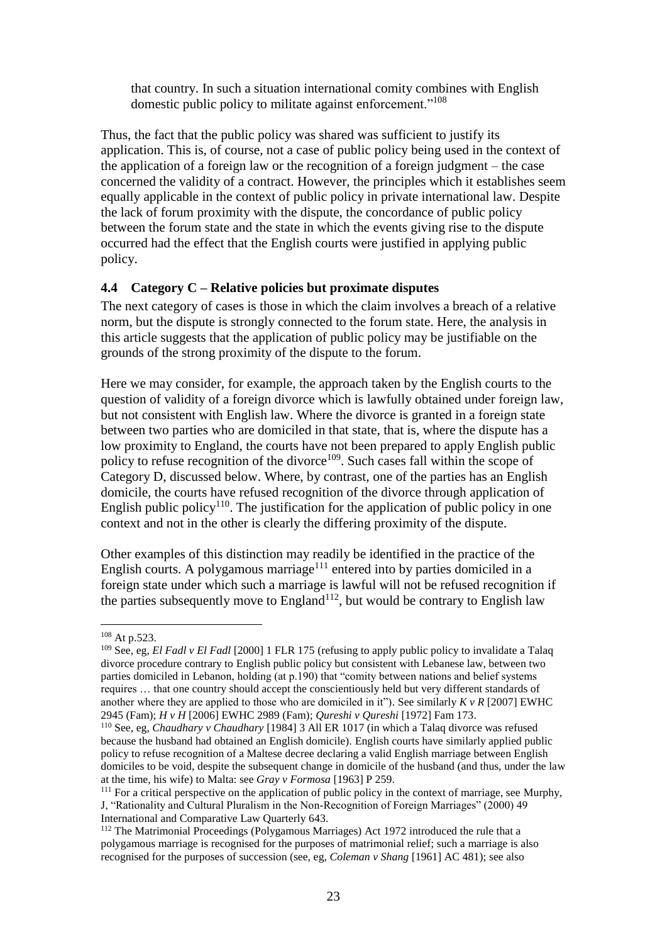that country. In such a situation international comity combines with English domestic public policy to militate against enforcement."<sup>108</sup>

Thus, the fact that the public policy was shared was sufficient to justify its application. This is, of course, not a case of public policy being used in the context of the application of a foreign law or the recognition of a foreign judgment – the case concerned the validity of a contract. However, the principles which it establishes seem equally applicable in the context of public policy in private international law. Despite the lack of forum proximity with the dispute, the concordance of public policy between the forum state and the state in which the events giving rise to the dispute occurred had the effect that the English courts were justified in applying public policy.

#### **4.4 Category C – Relative policies but proximate disputes**

The next category of cases is those in which the claim involves a breach of a relative norm, but the dispute is strongly connected to the forum state. Here, the analysis in this article suggests that the application of public policy may be justifiable on the grounds of the strong proximity of the dispute to the forum.

Here we may consider, for example, the approach taken by the English courts to the question of validity of a foreign divorce which is lawfully obtained under foreign law, but not consistent with English law. Where the divorce is granted in a foreign state between two parties who are domiciled in that state, that is, where the dispute has a low proximity to England, the courts have not been prepared to apply English public policy to refuse recognition of the divorce<sup>109</sup>. Such cases fall within the scope of Category D, discussed below. Where, by contrast, one of the parties has an English domicile, the courts have refused recognition of the divorce through application of English public policy<sup>110</sup>. The justification for the application of public policy in one context and not in the other is clearly the differing proximity of the dispute.

Other examples of this distinction may readily be identified in the practice of the English courts. A polygamous marriage<sup> $111$ </sup> entered into by parties domiciled in a foreign state under which such a marriage is lawful will not be refused recognition if the parties subsequently move to  ${\rm England}^{112}$ , but would be contrary to English law

<sup>108</sup> At p.523.

<sup>&</sup>lt;sup>109</sup> See, eg, *El Fadl v El Fadl* [2000] 1 FLR 175 (refusing to apply public policy to invalidate a Talaq divorce procedure contrary to English public policy but consistent with Lebanese law, between two parties domiciled in Lebanon, holding (at p.190) that "comity between nations and belief systems requires … that one country should accept the conscientiously held but very different standards of another where they are applied to those who are domiciled in it"). See similarly *K v R* [2007] EWHC 2945 (Fam); *H v H* [2006] EWHC 2989 (Fam); *Qureshi v Qureshi* [1972] Fam 173.

<sup>110</sup> See, eg, *Chaudhary v Chaudhary* [1984] 3 All ER 1017 (in which a Talaq divorce was refused because the husband had obtained an English domicile). English courts have similarly applied public policy to refuse recognition of a Maltese decree declaring a valid English marriage between English domiciles to be void, despite the subsequent change in domicile of the husband (and thus, under the law at the time, his wife) to Malta: see *Gray v Formosa* [1963] P 259.

<sup>&</sup>lt;sup>111</sup> For a critical perspective on the application of public policy in the context of marriage, see Murphy, J, "Rationality and Cultural Pluralism in the Non-Recognition of Foreign Marriages" (2000) 49 International and Comparative Law Quarterly 643.

<sup>112</sup> The Matrimonial Proceedings (Polygamous Marriages) Act 1972 introduced the rule that a polygamous marriage is recognised for the purposes of matrimonial relief; such a marriage is also recognised for the purposes of succession (see, eg, *Coleman v Shang* [1961] AC 481); see also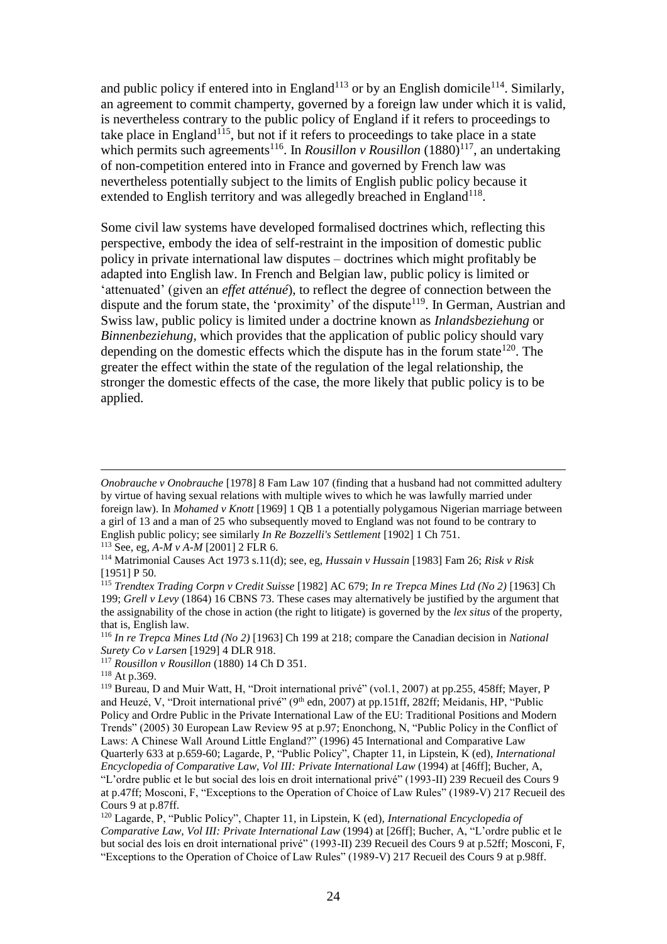and public policy if entered into in England<sup>113</sup> or by an English domicile<sup>114</sup>. Similarly, an agreement to commit champerty, governed by a foreign law under which it is valid, is nevertheless contrary to the public policy of England if it refers to proceedings to take place in England<sup>115</sup>, but not if it refers to proceedings to take place in a state which permits such agreements<sup>116</sup>. In *Rousillon v Rousillon*  $(1880)^{117}$ , an undertaking of non-competition entered into in France and governed by French law was nevertheless potentially subject to the limits of English public policy because it extended to English territory and was allegedly breached in England<sup>118</sup>.

Some civil law systems have developed formalised doctrines which, reflecting this perspective, embody the idea of self-restraint in the imposition of domestic public policy in private international law disputes – doctrines which might profitably be adapted into English law. In French and Belgian law, public policy is limited or 'attenuated' (given an *effet atténué*), to reflect the degree of connection between the dispute and the forum state, the 'proximity' of the dispute<sup>119</sup>. In German, Austrian and Swiss law, public policy is limited under a doctrine known as *Inlandsbeziehung* or *Binnenbeziehung,* which provides that the application of public policy should vary depending on the domestic effects which the dispute has in the forum state  $120$ . The greater the effect within the state of the regulation of the legal relationship, the stronger the domestic effects of the case, the more likely that public policy is to be applied.

*Onobrauche v Onobrauche* [1978] 8 Fam Law 107 (finding that a husband had not committed adultery by virtue of having sexual relations with multiple wives to which he was lawfully married under foreign law). In *Mohamed v Knott* [1969] 1 QB 1 a potentially polygamous Nigerian marriage between a girl of 13 and a man of 25 who subsequently moved to England was not found to be contrary to English public policy; see similarly *In Re Bozzelli's Settlement* [1902] 1 Ch 751.

<sup>113</sup> See, eg, *A-M v A-M* [2001] 2 FLR 6.

<sup>114</sup> Matrimonial Causes Act 1973 s.11(d); see, eg, *Hussain v Hussain* [1983] Fam 26; *Risk v Risk* [1951] P 50.

<sup>115</sup> *Trendtex Trading Corpn v Credit Suisse* [1982] AC 679; *In re Trepca Mines Ltd (No 2)* [1963] Ch 199; *Grell v Levy* (1864) 16 CBNS 73. These cases may alternatively be justified by the argument that the assignability of the chose in action (the right to litigate) is governed by the *lex situs* of the property, that is, English law.

<sup>116</sup> *In re Trepca Mines Ltd (No 2)* [1963] Ch 199 at 218; compare the Canadian decision in *National Surety Co v Larsen* [1929] 4 DLR 918.

<sup>117</sup> *Rousillon v Rousillon* (1880) 14 Ch D 351.

<sup>118</sup> At p.369.

<sup>119</sup> Bureau, D and Muir Watt, H, "Droit international privé" (vol.1, 2007) at pp.255, 458ff; Mayer, P and Heuzé, V, "Droit international privé" (9<sup>th</sup> edn, 2007) at pp.151ff, 282ff; Meidanis, HP, "Public Policy and Ordre Public in the Private International Law of the EU: Traditional Positions and Modern Trends" (2005) 30 European Law Review 95 at p.97; Enonchong, N, "Public Policy in the Conflict of Laws: A Chinese Wall Around Little England?" (1996) 45 International and Comparative Law Quarterly 633 at p.659-60; Lagarde, P, "Public Policy", Chapter 11, in Lipstein, K (ed), *International Encyclopedia of Comparative Law, Vol III: Private International Law* (1994) at [46ff]; Bucher, A, "L'ordre public et le but social des lois en droit international privé" (1993-II) 239 Recueil des Cours 9 at p.47ff; Mosconi, F, "Exceptions to the Operation of Choice of Law Rules" (1989-V) 217 Recueil des Cours 9 at p.87ff.

<sup>120</sup> Lagarde, P, "Public Policy", Chapter 11, in Lipstein, K (ed), *International Encyclopedia of Comparative Law, Vol III: Private International Law* (1994) at [26ff]; Bucher, A, "L'ordre public et le but social des lois en droit international privé" (1993-II) 239 Recueil des Cours 9 at p.52ff; Mosconi, F, "Exceptions to the Operation of Choice of Law Rules" (1989-V) 217 Recueil des Cours 9 at p.98ff.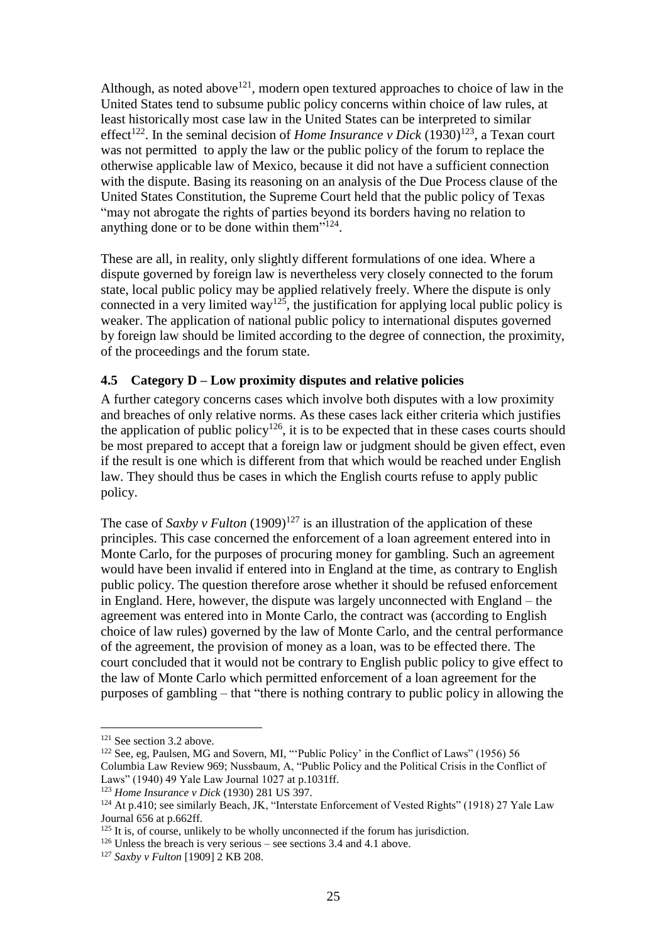Although, as noted above<sup>121</sup>, modern open textured approaches to choice of law in the United States tend to subsume public policy concerns within choice of law rules, at least historically most case law in the United States can be interpreted to similar effect<sup>122</sup>. In the seminal decision of *Home Insurance v Dick*  $(1930)^{123}$ , a Texan court was not permitted to apply the law or the public policy of the forum to replace the otherwise applicable law of Mexico, because it did not have a sufficient connection with the dispute. Basing its reasoning on an analysis of the Due Process clause of the United States Constitution, the Supreme Court held that the public policy of Texas "may not abrogate the rights of parties beyond its borders having no relation to anything done or to be done within them"<sup>124</sup>.

These are all, in reality, only slightly different formulations of one idea. Where a dispute governed by foreign law is nevertheless very closely connected to the forum state, local public policy may be applied relatively freely. Where the dispute is only connected in a very limited way<sup>125</sup>, the justification for applying local public policy is weaker. The application of national public policy to international disputes governed by foreign law should be limited according to the degree of connection, the proximity, of the proceedings and the forum state.

#### **4.5 Category D – Low proximity disputes and relative policies**

A further category concerns cases which involve both disputes with a low proximity and breaches of only relative norms. As these cases lack either criteria which justifies the application of public policy<sup>126</sup>, it is to be expected that in these cases courts should be most prepared to accept that a foreign law or judgment should be given effect, even if the result is one which is different from that which would be reached under English law. They should thus be cases in which the English courts refuse to apply public policy.

The case of *Saxby v Fulton*  $(1909)^{127}$  is an illustration of the application of these principles. This case concerned the enforcement of a loan agreement entered into in Monte Carlo, for the purposes of procuring money for gambling. Such an agreement would have been invalid if entered into in England at the time, as contrary to English public policy. The question therefore arose whether it should be refused enforcement in England. Here, however, the dispute was largely unconnected with England – the agreement was entered into in Monte Carlo, the contract was (according to English choice of law rules) governed by the law of Monte Carlo, and the central performance of the agreement, the provision of money as a loan, was to be effected there. The court concluded that it would not be contrary to English public policy to give effect to the law of Monte Carlo which permitted enforcement of a loan agreement for the purposes of gambling – that "there is nothing contrary to public policy in allowing the

<sup>&</sup>lt;sup>121</sup> See section 3.2 above.

<sup>&</sup>lt;sup>122</sup> See, eg, Paulsen, MG and Sovern, MI, "'Public Policy' in the Conflict of Laws" (1956) 56 Columbia Law Review 969; Nussbaum, A, "Public Policy and the Political Crisis in the Conflict of Laws" (1940) 49 Yale Law Journal 1027 at p.1031ff.

<sup>123</sup> *Home Insurance v Dick* (1930) 281 US 397.

<sup>&</sup>lt;sup>124</sup> At p.410; see similarly Beach, JK, "Interstate Enforcement of Vested Rights" (1918) 27 Yale Law Journal 656 at p.662ff.

 $125$  It is, of course, unlikely to be wholly unconnected if the forum has jurisdiction.

<sup>&</sup>lt;sup>126</sup> Unless the breach is very serious – see sections 3.4 and 4.1 above.

<sup>127</sup> *Saxby v Fulton* [1909] 2 KB 208.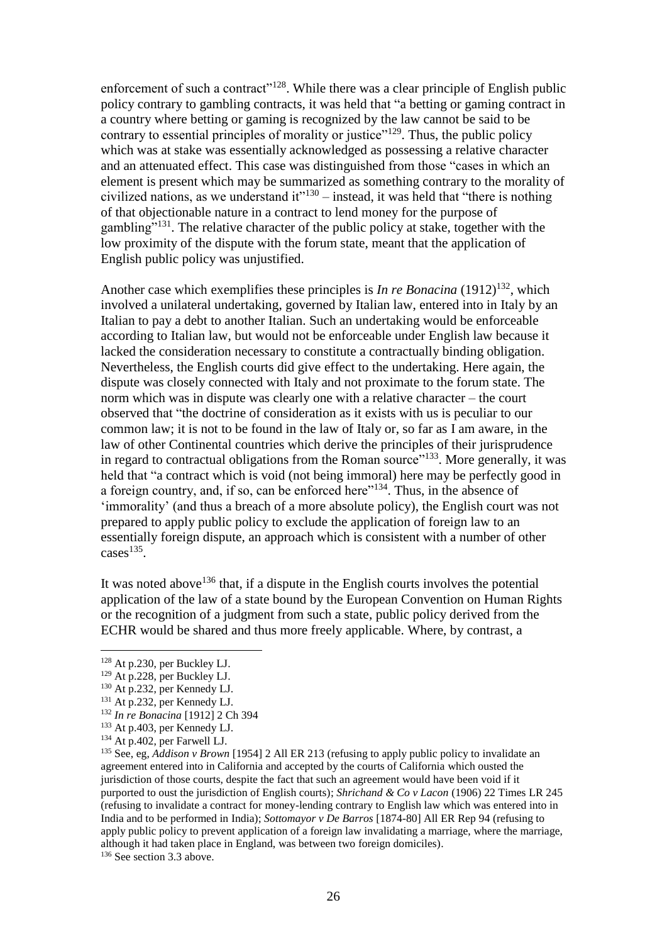enforcement of such a contract"<sup>128</sup>. While there was a clear principle of English public policy contrary to gambling contracts, it was held that "a betting or gaming contract in a country where betting or gaming is recognized by the law cannot be said to be contrary to essential principles of morality or justice"<sup>129</sup>. Thus, the public policy which was at stake was essentially acknowledged as possessing a relative character and an attenuated effect. This case was distinguished from those "cases in which an element is present which may be summarized as something contrary to the morality of civilized nations, as we understand it  $1^{130}$  – instead, it was held that "there is nothing of that objectionable nature in a contract to lend money for the purpose of gambling"<sup>131</sup>. The relative character of the public policy at stake, together with the low proximity of the dispute with the forum state, meant that the application of English public policy was unjustified.

Another case which exemplifies these principles is *In re Bonacina* (1912)<sup>132</sup>, which involved a unilateral undertaking, governed by Italian law, entered into in Italy by an Italian to pay a debt to another Italian. Such an undertaking would be enforceable according to Italian law, but would not be enforceable under English law because it lacked the consideration necessary to constitute a contractually binding obligation. Nevertheless, the English courts did give effect to the undertaking. Here again, the dispute was closely connected with Italy and not proximate to the forum state. The norm which was in dispute was clearly one with a relative character – the court observed that "the doctrine of consideration as it exists with us is peculiar to our common law; it is not to be found in the law of Italy or, so far as I am aware, in the law of other Continental countries which derive the principles of their jurisprudence in regard to contractual obligations from the Roman source"<sup>133</sup>. More generally, it was held that "a contract which is void (not being immoral) here may be perfectly good in a foreign country, and, if so, can be enforced here"<sup>134</sup>. Thus, in the absence of 'immorality' (and thus a breach of a more absolute policy), the English court was not prepared to apply public policy to exclude the application of foreign law to an essentially foreign dispute, an approach which is consistent with a number of other  $cases$ <sup>135</sup>.

It was noted above<sup>136</sup> that, if a dispute in the English courts involves the potential application of the law of a state bound by the European Convention on Human Rights or the recognition of a judgment from such a state, public policy derived from the ECHR would be shared and thus more freely applicable. Where, by contrast, a

1

<sup>136</sup> See section 3.3 above.

<sup>128</sup> At p.230, per Buckley LJ.

<sup>129</sup> At p.228, per Buckley LJ.

<sup>130</sup> At p.232, per Kennedy LJ.

<sup>131</sup> At p.232, per Kennedy LJ.

<sup>132</sup> *In re Bonacina* [1912] 2 Ch 394

<sup>133</sup> At p.403, per Kennedy LJ.

<sup>134</sup> At p.402, per Farwell LJ.

<sup>135</sup> See, eg, *Addison v Brown* [1954] 2 All ER 213 (refusing to apply public policy to invalidate an agreement entered into in California and accepted by the courts of California which ousted the jurisdiction of those courts, despite the fact that such an agreement would have been void if it purported to oust the jurisdiction of English courts); *Shrichand & Co v Lacon* (1906) 22 Times LR 245 (refusing to invalidate a contract for money-lending contrary to English law which was entered into in India and to be performed in India); *Sottomayor v De Barros* [1874-80] All ER Rep 94 (refusing to apply public policy to prevent application of a foreign law invalidating a marriage, where the marriage, although it had taken place in England, was between two foreign domiciles).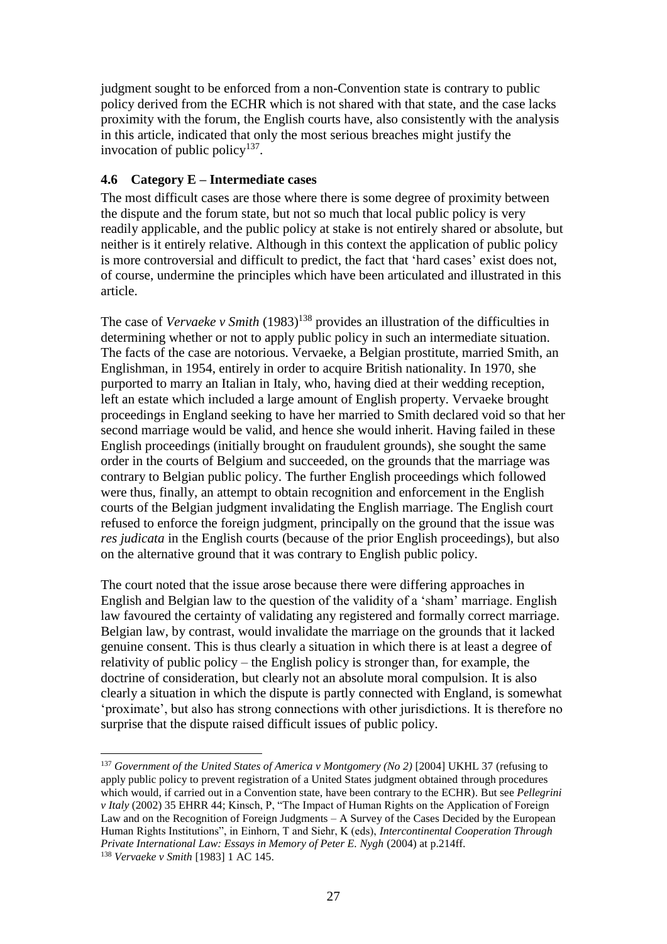judgment sought to be enforced from a non-Convention state is contrary to public policy derived from the ECHR which is not shared with that state, and the case lacks proximity with the forum, the English courts have, also consistently with the analysis in this article, indicated that only the most serious breaches might justify the invocation of public policy $137$ .

### **4.6 Category E – Intermediate cases**

The most difficult cases are those where there is some degree of proximity between the dispute and the forum state, but not so much that local public policy is very readily applicable, and the public policy at stake is not entirely shared or absolute, but neither is it entirely relative. Although in this context the application of public policy is more controversial and difficult to predict, the fact that 'hard cases' exist does not, of course, undermine the principles which have been articulated and illustrated in this article.

The case of *Vervaeke v Smith* (1983) <sup>138</sup> provides an illustration of the difficulties in determining whether or not to apply public policy in such an intermediate situation. The facts of the case are notorious. Vervaeke, a Belgian prostitute, married Smith, an Englishman, in 1954, entirely in order to acquire British nationality. In 1970, she purported to marry an Italian in Italy, who, having died at their wedding reception, left an estate which included a large amount of English property. Vervaeke brought proceedings in England seeking to have her married to Smith declared void so that her second marriage would be valid, and hence she would inherit. Having failed in these English proceedings (initially brought on fraudulent grounds), she sought the same order in the courts of Belgium and succeeded, on the grounds that the marriage was contrary to Belgian public policy. The further English proceedings which followed were thus, finally, an attempt to obtain recognition and enforcement in the English courts of the Belgian judgment invalidating the English marriage. The English court refused to enforce the foreign judgment, principally on the ground that the issue was *res judicata* in the English courts (because of the prior English proceedings), but also on the alternative ground that it was contrary to English public policy.

The court noted that the issue arose because there were differing approaches in English and Belgian law to the question of the validity of a 'sham' marriage. English law favoured the certainty of validating any registered and formally correct marriage. Belgian law, by contrast, would invalidate the marriage on the grounds that it lacked genuine consent. This is thus clearly a situation in which there is at least a degree of relativity of public policy – the English policy is stronger than, for example, the doctrine of consideration, but clearly not an absolute moral compulsion. It is also clearly a situation in which the dispute is partly connected with England, is somewhat 'proximate', but also has strong connections with other jurisdictions. It is therefore no surprise that the dispute raised difficult issues of public policy.

<sup>1</sup> <sup>137</sup> *Government of the United States of America v Montgomery (No 2)* [2004] UKHL 37 (refusing to apply public policy to prevent registration of a United States judgment obtained through procedures which would, if carried out in a Convention state, have been contrary to the ECHR). But see *Pellegrini v Italy* (2002) 35 EHRR 44; Kinsch, P, "The Impact of Human Rights on the Application of Foreign Law and on the Recognition of Foreign Judgments – A Survey of the Cases Decided by the European Human Rights Institutions", in Einhorn, T and Siehr, K (eds), *Intercontinental Cooperation Through Private International Law: Essays in Memory of Peter E. Nygh* (2004) at p.214ff. <sup>138</sup> *Vervaeke v Smith* [1983] 1 AC 145.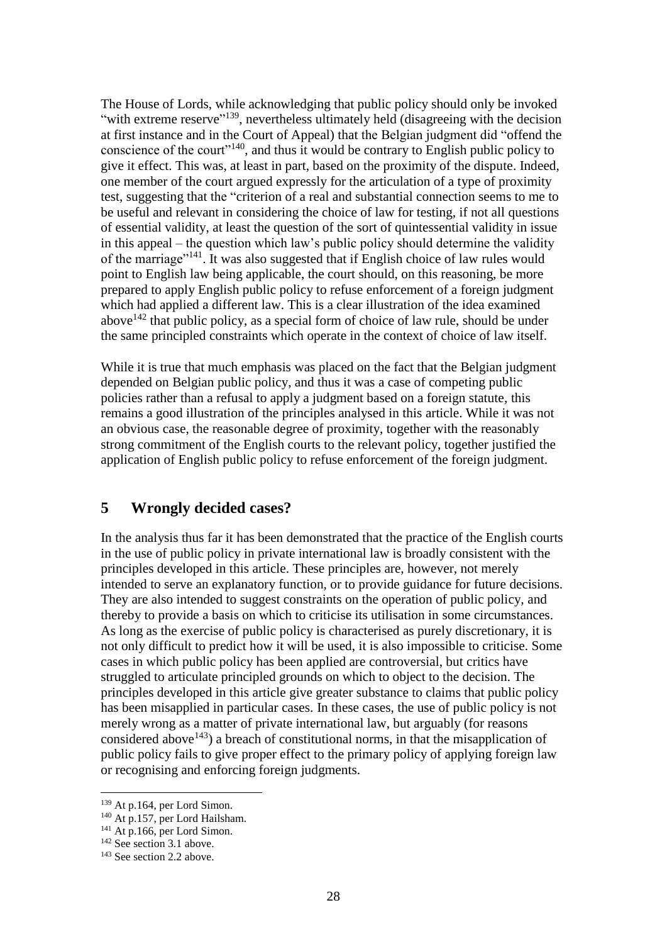The House of Lords, while acknowledging that public policy should only be invoked "with extreme reserve"<sup>139</sup>, nevertheless ultimately held (disagreeing with the decision at first instance and in the Court of Appeal) that the Belgian judgment did "offend the conscience of the court<sup>"140</sup>, and thus it would be contrary to English public policy to give it effect. This was, at least in part, based on the proximity of the dispute. Indeed, one member of the court argued expressly for the articulation of a type of proximity test, suggesting that the "criterion of a real and substantial connection seems to me to be useful and relevant in considering the choice of law for testing, if not all questions of essential validity, at least the question of the sort of quintessential validity in issue in this appeal – the question which law's public policy should determine the validity of the marriage"<sup>141</sup>. It was also suggested that if English choice of law rules would point to English law being applicable, the court should, on this reasoning, be more prepared to apply English public policy to refuse enforcement of a foreign judgment which had applied a different law. This is a clear illustration of the idea examined above<sup> $142$ </sup> that public policy, as a special form of choice of law rule, should be under the same principled constraints which operate in the context of choice of law itself.

While it is true that much emphasis was placed on the fact that the Belgian judgment depended on Belgian public policy, and thus it was a case of competing public policies rather than a refusal to apply a judgment based on a foreign statute, this remains a good illustration of the principles analysed in this article. While it was not an obvious case, the reasonable degree of proximity, together with the reasonably strong commitment of the English courts to the relevant policy, together justified the application of English public policy to refuse enforcement of the foreign judgment.

### **5 Wrongly decided cases?**

In the analysis thus far it has been demonstrated that the practice of the English courts in the use of public policy in private international law is broadly consistent with the principles developed in this article. These principles are, however, not merely intended to serve an explanatory function, or to provide guidance for future decisions. They are also intended to suggest constraints on the operation of public policy, and thereby to provide a basis on which to criticise its utilisation in some circumstances. As long as the exercise of public policy is characterised as purely discretionary, it is not only difficult to predict how it will be used, it is also impossible to criticise. Some cases in which public policy has been applied are controversial, but critics have struggled to articulate principled grounds on which to object to the decision. The principles developed in this article give greater substance to claims that public policy has been misapplied in particular cases. In these cases, the use of public policy is not merely wrong as a matter of private international law, but arguably (for reasons considered above<sup>143</sup>) a breach of constitutional norms, in that the misapplication of public policy fails to give proper effect to the primary policy of applying foreign law or recognising and enforcing foreign judgments.

<sup>139</sup> At p.164, per Lord Simon.

<sup>&</sup>lt;sup>140</sup> At p.157, per Lord Hailsham.

 $141$  At p.166, per Lord Simon.

 $142$  See section 3.1 above.

<sup>&</sup>lt;sup>143</sup> See section 2.2 above.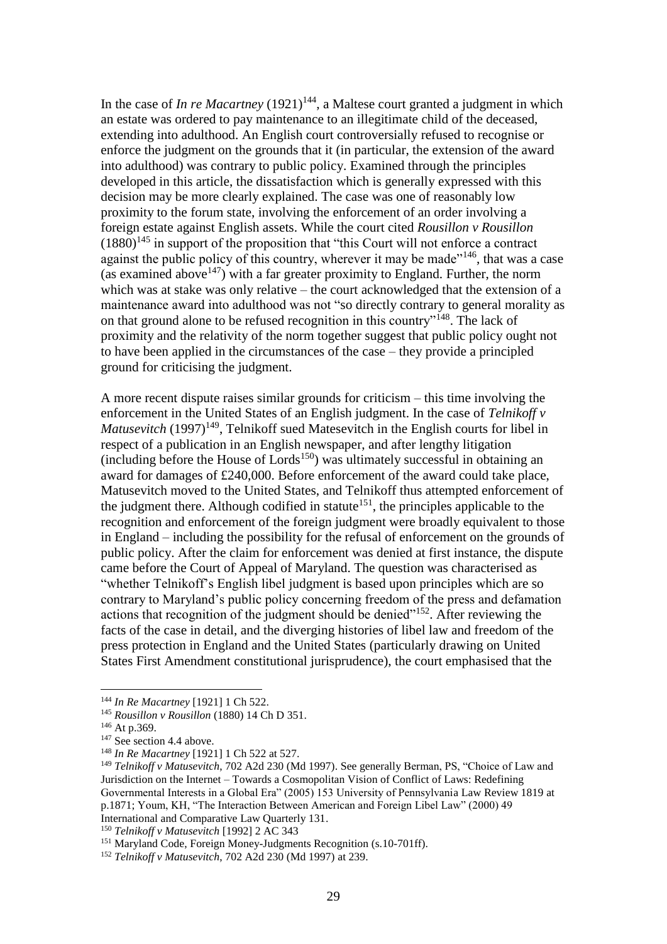In the case of *In re Macartney*  $(1921)^{144}$ , a Maltese court granted a judgment in which an estate was ordered to pay maintenance to an illegitimate child of the deceased, extending into adulthood. An English court controversially refused to recognise or enforce the judgment on the grounds that it (in particular, the extension of the award into adulthood) was contrary to public policy. Examined through the principles developed in this article, the dissatisfaction which is generally expressed with this decision may be more clearly explained. The case was one of reasonably low proximity to the forum state, involving the enforcement of an order involving a foreign estate against English assets. While the court cited *Rousillon v Rousillon*  $(1880)^{145}$  in support of the proposition that "this Court will not enforce a contract" against the public policy of this country, wherever it may be made<sup>"146</sup>, that was a case (as examined above<sup>147</sup>) with a far greater proximity to England. Further, the norm which was at stake was only relative – the court acknowledged that the extension of a maintenance award into adulthood was not "so directly contrary to general morality as on that ground alone to be refused recognition in this country"<sup>148</sup>. The lack of proximity and the relativity of the norm together suggest that public policy ought not to have been applied in the circumstances of the case – they provide a principled ground for criticising the judgment.

A more recent dispute raises similar grounds for criticism – this time involving the enforcement in the United States of an English judgment. In the case of *Telnikoff v Matusevitch* (1997)<sup>149</sup>, Telnikoff sued Matesevitch in the English courts for libel in respect of a publication in an English newspaper, and after lengthy litigation  $(including before the House of Lords<sup>150</sup>) was ultimately successful in obtaining an$ award for damages of £240,000. Before enforcement of the award could take place, Matusevitch moved to the United States, and Telnikoff thus attempted enforcement of the judgment there. Although codified in statute<sup>151</sup>, the principles applicable to the recognition and enforcement of the foreign judgment were broadly equivalent to those in England – including the possibility for the refusal of enforcement on the grounds of public policy. After the claim for enforcement was denied at first instance, the dispute came before the Court of Appeal of Maryland. The question was characterised as "whether Telnikoff's English libel judgment is based upon principles which are so contrary to Maryland's public policy concerning freedom of the press and defamation actions that recognition of the judgment should be denied"<sup>152</sup>. After reviewing the facts of the case in detail, and the diverging histories of libel law and freedom of the press protection in England and the United States (particularly drawing on United States First Amendment constitutional jurisprudence), the court emphasised that the

1

<sup>150</sup> *Telnikoff v Matusevitch* [1992] 2 AC 343

<sup>144</sup> *In Re Macartney* [1921] 1 Ch 522.

<sup>145</sup> *Rousillon v Rousillon* (1880) 14 Ch D 351.

<sup>&</sup>lt;sup>146</sup> At p.369.

<sup>&</sup>lt;sup>147</sup> See section 4.4 above.

<sup>148</sup> *In Re Macartney* [1921] 1 Ch 522 at 527.

<sup>149</sup> *Telnikoff v Matusevitch*, 702 A2d 230 (Md 1997). See generally Berman, PS, "Choice of Law and Jurisdiction on the Internet – Towards a Cosmopolitan Vision of Conflict of Laws: Redefining Governmental Interests in a Global Era" (2005) 153 University of Pennsylvania Law Review 1819 at p.1871; Youm, KH, "The Interaction Between American and Foreign Libel Law" (2000) 49 International and Comparative Law Quarterly 131.

<sup>&</sup>lt;sup>151</sup> Maryland Code, Foreign Money-Judgments Recognition (s.10-701ff).

<sup>152</sup> *Telnikoff v Matusevitch*, 702 A2d 230 (Md 1997) at 239.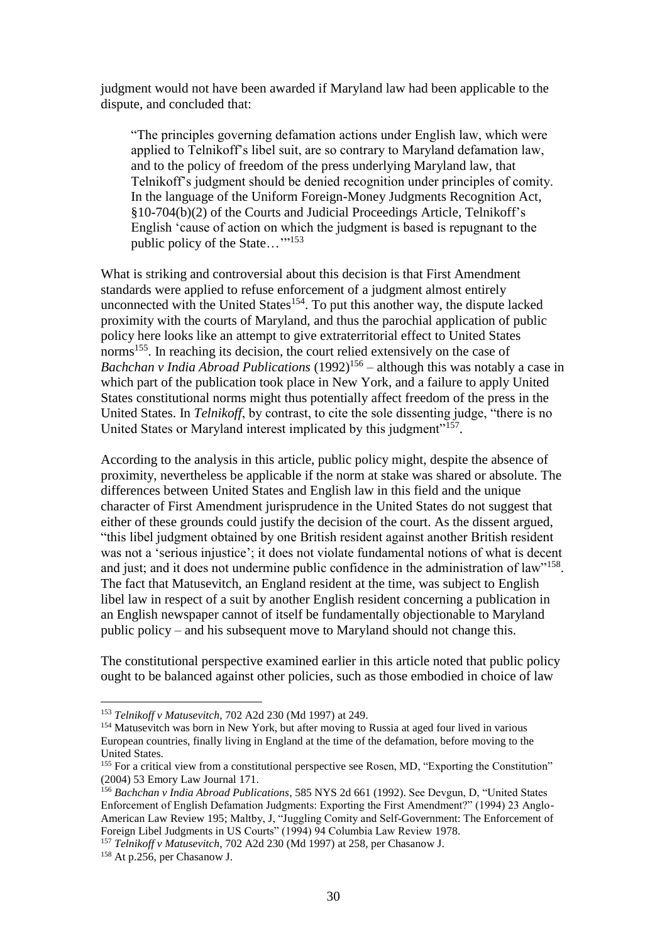judgment would not have been awarded if Maryland law had been applicable to the dispute, and concluded that:

"The principles governing defamation actions under English law, which were applied to Telnikoff's libel suit, are so contrary to Maryland defamation law, and to the policy of freedom of the press underlying Maryland law, that Telnikoff's judgment should be denied recognition under principles of comity. In the language of the Uniform Foreign-Money Judgments Recognition Act, §10-704(b)(2) of the Courts and Judicial Proceedings Article, Telnikoff's English 'cause of action on which the judgment is based is repugnant to the public policy of the State..."<sup>153</sup>

What is striking and controversial about this decision is that First Amendment standards were applied to refuse enforcement of a judgment almost entirely unconnected with the United States<sup>154</sup>. To put this another way, the dispute lacked proximity with the courts of Maryland, and thus the parochial application of public policy here looks like an attempt to give extraterritorial effect to United States norms<sup>155</sup>. In reaching its decision, the court relied extensively on the case of *Bachchan v India Abroad Publications* (1992)<sup>156</sup> – although this was notably a case in which part of the publication took place in New York, and a failure to apply United States constitutional norms might thus potentially affect freedom of the press in the United States. In *Telnikoff*, by contrast, to cite the sole dissenting judge, "there is no United States or Maryland interest implicated by this judgment"<sup>157</sup>.

According to the analysis in this article, public policy might, despite the absence of proximity, nevertheless be applicable if the norm at stake was shared or absolute. The differences between United States and English law in this field and the unique character of First Amendment jurisprudence in the United States do not suggest that either of these grounds could justify the decision of the court. As the dissent argued, "this libel judgment obtained by one British resident against another British resident was not a 'serious injustice'; it does not violate fundamental notions of what is decent and just; and it does not undermine public confidence in the administration of law"<sup>158</sup>. The fact that Matusevitch, an England resident at the time, was subject to English libel law in respect of a suit by another English resident concerning a publication in an English newspaper cannot of itself be fundamentally objectionable to Maryland public policy – and his subsequent move to Maryland should not change this.

The constitutional perspective examined earlier in this article noted that public policy ought to be balanced against other policies, such as those embodied in choice of law

<sup>153</sup> *Telnikoff v Matusevitch*, 702 A2d 230 (Md 1997) at 249.

<sup>&</sup>lt;sup>154</sup> Matusevitch was born in New York, but after moving to Russia at aged four lived in various European countries, finally living in England at the time of the defamation, before moving to the United States.

<sup>&</sup>lt;sup>155</sup> For a critical view from a constitutional perspective see Rosen, MD, "Exporting the Constitution" (2004) 53 Emory Law Journal 171.

<sup>156</sup> *Bachchan v India Abroad Publications*, 585 NYS 2d 661 (1992). See Devgun, D, "United States Enforcement of English Defamation Judgments: Exporting the First Amendment?" (1994) 23 Anglo-American Law Review 195; Maltby, J, "Juggling Comity and Self-Government: The Enforcement of Foreign Libel Judgments in US Courts" (1994) 94 Columbia Law Review 1978.

<sup>157</sup> *Telnikoff v Matusevitch*, 702 A2d 230 (Md 1997) at 258, per Chasanow J.

<sup>158</sup> At p.256, per Chasanow J.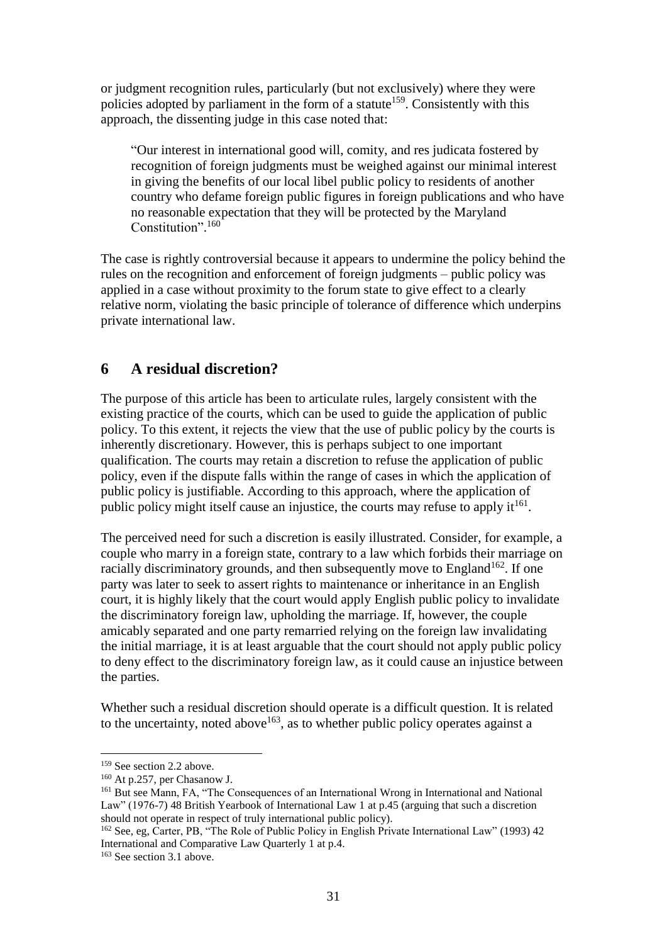or judgment recognition rules, particularly (but not exclusively) where they were policies adopted by parliament in the form of a statute<sup>159</sup>. Consistently with this approach, the dissenting judge in this case noted that:

"Our interest in international good will, comity, and res judicata fostered by recognition of foreign judgments must be weighed against our minimal interest in giving the benefits of our local libel public policy to residents of another country who defame foreign public figures in foreign publications and who have no reasonable expectation that they will be protected by the Maryland Constitution". 160

The case is rightly controversial because it appears to undermine the policy behind the rules on the recognition and enforcement of foreign judgments – public policy was applied in a case without proximity to the forum state to give effect to a clearly relative norm, violating the basic principle of tolerance of difference which underpins private international law.

## **6 A residual discretion?**

The purpose of this article has been to articulate rules, largely consistent with the existing practice of the courts, which can be used to guide the application of public policy. To this extent, it rejects the view that the use of public policy by the courts is inherently discretionary. However, this is perhaps subject to one important qualification. The courts may retain a discretion to refuse the application of public policy, even if the dispute falls within the range of cases in which the application of public policy is justifiable. According to this approach, where the application of public policy might itself cause an injustice, the courts may refuse to apply  $it^{161}$ .

The perceived need for such a discretion is easily illustrated. Consider, for example, a couple who marry in a foreign state, contrary to a law which forbids their marriage on racially discriminatory grounds, and then subsequently move to England<sup>162</sup>. If one party was later to seek to assert rights to maintenance or inheritance in an English court, it is highly likely that the court would apply English public policy to invalidate the discriminatory foreign law, upholding the marriage. If, however, the couple amicably separated and one party remarried relying on the foreign law invalidating the initial marriage, it is at least arguable that the court should not apply public policy to deny effect to the discriminatory foreign law, as it could cause an injustice between the parties.

Whether such a residual discretion should operate is a difficult question. It is related to the uncertainty, noted above  $163$ , as to whether public policy operates against a

<sup>&</sup>lt;sup>159</sup> See section 2.2 above.

<sup>160</sup> At p.257, per Chasanow J.

<sup>&</sup>lt;sup>161</sup> But see Mann, FA, "The Consequences of an International Wrong in International and National Law" (1976-7) 48 British Yearbook of International Law 1 at p.45 (arguing that such a discretion should not operate in respect of truly international public policy).

<sup>&</sup>lt;sup>162</sup> See, eg, Carter, PB, "The Role of Public Policy in English Private International Law" (1993) 42 International and Comparative Law Quarterly 1 at p.4.

<sup>&</sup>lt;sup>163</sup> See section 3.1 above.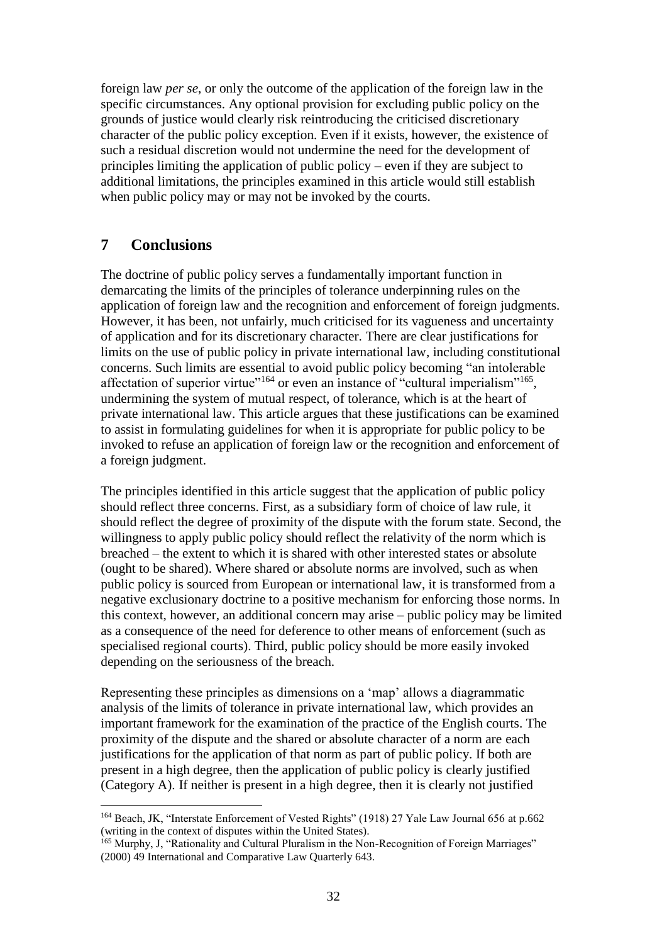foreign law *per se*, or only the outcome of the application of the foreign law in the specific circumstances. Any optional provision for excluding public policy on the grounds of justice would clearly risk reintroducing the criticised discretionary character of the public policy exception. Even if it exists, however, the existence of such a residual discretion would not undermine the need for the development of principles limiting the application of public policy – even if they are subject to additional limitations, the principles examined in this article would still establish when public policy may or may not be invoked by the courts.

## **7 Conclusions**

1

The doctrine of public policy serves a fundamentally important function in demarcating the limits of the principles of tolerance underpinning rules on the application of foreign law and the recognition and enforcement of foreign judgments. However, it has been, not unfairly, much criticised for its vagueness and uncertainty of application and for its discretionary character. There are clear justifications for limits on the use of public policy in private international law, including constitutional concerns. Such limits are essential to avoid public policy becoming "an intolerable affectation of superior virtue"<sup>164</sup> or even an instance of "cultural imperialism"<sup>165</sup>, undermining the system of mutual respect, of tolerance, which is at the heart of private international law. This article argues that these justifications can be examined to assist in formulating guidelines for when it is appropriate for public policy to be invoked to refuse an application of foreign law or the recognition and enforcement of a foreign judgment.

The principles identified in this article suggest that the application of public policy should reflect three concerns. First, as a subsidiary form of choice of law rule, it should reflect the degree of proximity of the dispute with the forum state. Second, the willingness to apply public policy should reflect the relativity of the norm which is breached – the extent to which it is shared with other interested states or absolute (ought to be shared). Where shared or absolute norms are involved, such as when public policy is sourced from European or international law, it is transformed from a negative exclusionary doctrine to a positive mechanism for enforcing those norms. In this context, however, an additional concern may arise – public policy may be limited as a consequence of the need for deference to other means of enforcement (such as specialised regional courts). Third, public policy should be more easily invoked depending on the seriousness of the breach.

Representing these principles as dimensions on a 'map' allows a diagrammatic analysis of the limits of tolerance in private international law, which provides an important framework for the examination of the practice of the English courts. The proximity of the dispute and the shared or absolute character of a norm are each justifications for the application of that norm as part of public policy. If both are present in a high degree, then the application of public policy is clearly justified (Category A). If neither is present in a high degree, then it is clearly not justified

<sup>&</sup>lt;sup>164</sup> Beach, JK, "Interstate Enforcement of Vested Rights" (1918) 27 Yale Law Journal 656 at p.662 (writing in the context of disputes within the United States).

<sup>&</sup>lt;sup>165</sup> Murphy, J. "Rationality and Cultural Pluralism in the Non-Recognition of Foreign Marriages" (2000) 49 International and Comparative Law Quarterly 643.